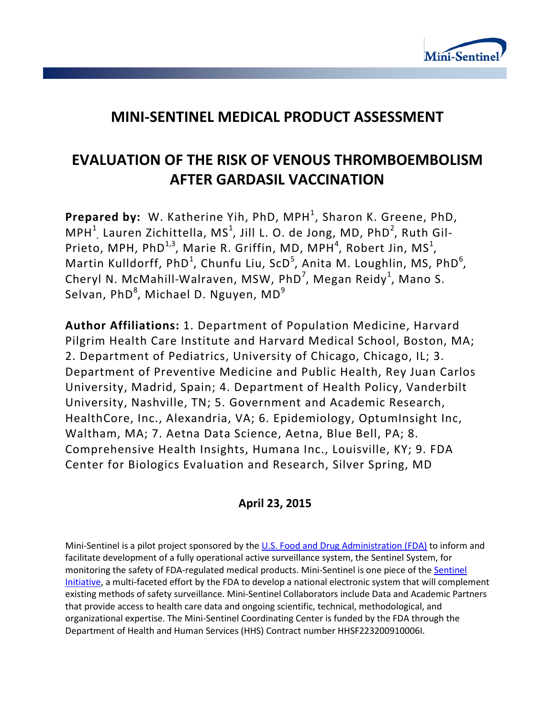

# **MINI-SENTINEL MEDICAL PRODUCT ASSESSMENT**

# **EVALUATION OF THE RISK OF VENOUS THROMBOEMBOLISM AFTER GARDASIL VACCINATION**

Prepared by: W. Katherine Yih, PhD, MPH<sup>1</sup>, Sharon K. Greene, PhD,  $\mathsf{MPH}^1_\wedge$  Lauren Zichittella, MS $^1$ , Jill L. O. de Jong, MD, PhD $^2$ , Ruth Gil-Prieto, MPH, PhD $^{1,3}$ , Marie R. Griffin, MD, MPH $^4$ , Robert Jin, MS $^1$ , Martin Kulldorff, PhD<sup>1</sup>, Chunfu Liu, ScD<sup>5</sup>, Anita M. Loughlin, MS, PhD<sup>6</sup>, Cheryl N. McMahill-Walraven, MSW, PhD<sup>7</sup>, Megan Reidy<sup>1</sup>, Mano S. Selvan, PhD<sup>8</sup>, Michael D. Nguyen, MD<sup>9</sup>

**Author Affiliations:** 1. Department of Population Medicine, Harvard Pilgrim Health Care Institute and Harvard Medical School, Boston, MA; 2. Department of Pediatrics, University of Chicago, Chicago, IL; 3. Department of Preventive Medicine and Public Health, Rey Juan Carlos University, Madrid, Spain; 4. Department of Health Policy, Vanderbilt University, Nashville, TN; 5. Government and Academic Research, HealthCore, Inc., Alexandria, VA; 6. Epidemiology, OptumInsight Inc, Waltham, MA; 7. Aetna Data Science, Aetna, Blue Bell, PA; 8. Comprehensive Health Insights, Humana Inc., Louisville, KY; 9. FDA Center for Biologics Evaluation and Research, Silver Spring, MD

## **April 23, 2015**

Mini-Sentinel is a pilot project sponsored by th[e U.S. Food and Drug Administration \(FDA\)](http://www.fda.gov/) to inform and facilitate development of a fully operational active surveillance system, the Sentinel System, for monitoring the safety of FDA-regulated medical products. Mini-Sentinel is one piece of the Sentinel [Initiative,](http://www.fda.gov/Safety/FDAsSentinelInitiative/default.htm) a multi-faceted effort by the FDA to develop a national electronic system that will complement existing methods of safety surveillance. Mini-Sentinel Collaborators include Data and Academic Partners that provide access to health care data and ongoing scientific, technical, methodological, and organizational expertise. The Mini-Sentinel Coordinating Center is funded by the FDA through the Department of Health and Human Services (HHS) Contract number HHSF223200910006I.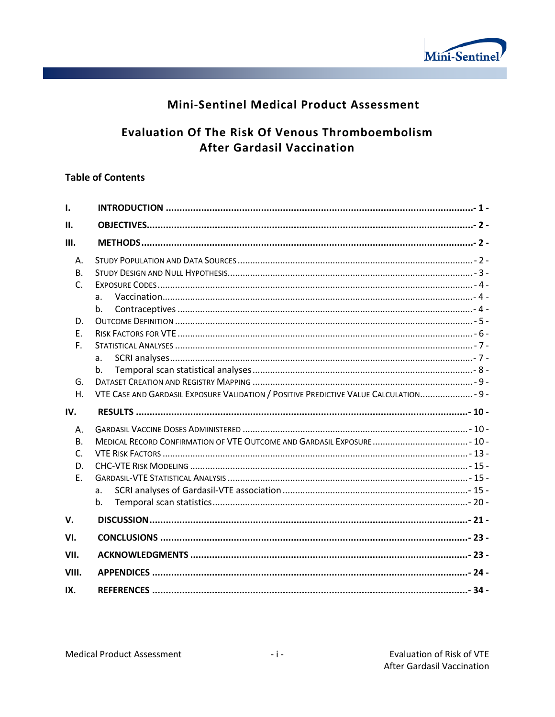

## **Mini-Sentinel Medical Product Assessment**

## **Evaluation Of The Risk Of Venous Thromboembolism After Gardasil Vaccination**

#### **Table of Contents**

| 1.             |                                                                                             |  |
|----------------|---------------------------------------------------------------------------------------------|--|
| II.            |                                                                                             |  |
| III.           |                                                                                             |  |
| А.             |                                                                                             |  |
| B <sub>1</sub> |                                                                                             |  |
| C.             |                                                                                             |  |
|                | a.                                                                                          |  |
|                | b.                                                                                          |  |
| D.             |                                                                                             |  |
| Ε.             |                                                                                             |  |
| F.             |                                                                                             |  |
|                | a.                                                                                          |  |
|                | b.                                                                                          |  |
| G.             |                                                                                             |  |
| Η.             | - 9 - VTE CASE AND GARDASIL EXPOSURE VALIDATION / POSITIVE PREDICTIVE VALUE CALCULATION - 9 |  |
| IV.            |                                                                                             |  |
| А.             |                                                                                             |  |
| <b>B.</b>      | MEDICAL RECORD CONFIRMATION OF VTE OUTCOME AND GARDASIL EXPOSURE  - 10 -                    |  |
| C.             |                                                                                             |  |
| D.             |                                                                                             |  |
| $F_{\perp}$    |                                                                                             |  |
|                | a.                                                                                          |  |
|                | b.                                                                                          |  |
| $V_{\cdot}$    |                                                                                             |  |
| VI.            |                                                                                             |  |
|                |                                                                                             |  |
| VII.           |                                                                                             |  |
| VIII.          |                                                                                             |  |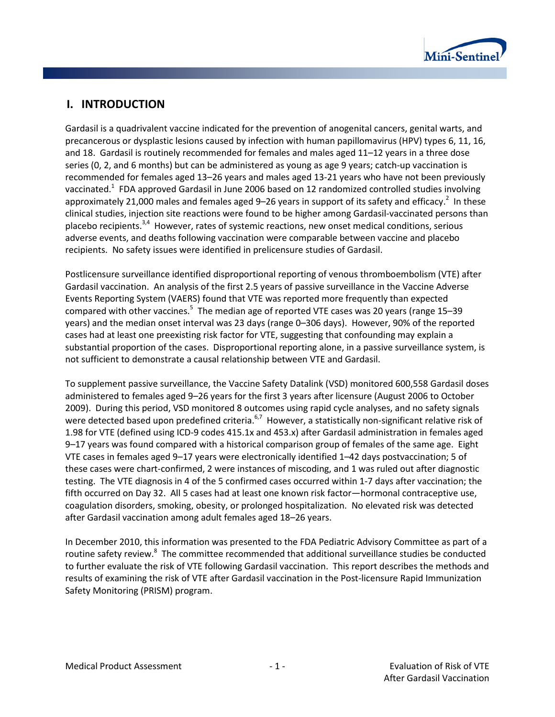

## **I. INTRODUCTION**

Gardasil is a quadrivalent vaccine indicated for the prevention of anogenital cancers, genital warts, and precancerous or dysplastic lesions caused by infection with human papillomavirus (HPV) types 6, 11, 16, and 18. Gardasil is routinely recommended for females and males aged 11–12 years in a three dose series (0, 2, and 6 months) but can be administered as young as age 9 years; catch-up vaccination is recommended for females aged 13–26 years and males aged 13-21 years who have not been previously vaccinated.<sup>1</sup> FDA approved Gardasil in June 2006 based on 12 randomized controlled studies involving approximately 21,000 males and females aged 9–26 years in support of its safety and efficacy.<sup>2</sup> In these clinical studies, injection site reactions were found to be higher among Gardasil-vaccinated persons than placebo recipients.<sup>3,4</sup> However, rates of systemic reactions, new onset medical conditions, serious adverse events, and deaths following vaccination were comparable between vaccine and placebo recipients. No safety issues were identified in prelicensure studies of Gardasil.

Postlicensure surveillance identified disproportional reporting of venous thromboembolism (VTE) after Gardasil vaccination. An analysis of the first 2.5 years of passive surveillance in the Vaccine Adverse Events Reporting System (VAERS) found that VTE was reported more frequently than expected compared with other vaccines.<sup>5</sup> The median age of reported VTE cases was 20 years (range 15–39 years) and the median onset interval was 23 days (range 0–306 days). However, 90% of the reported cases had at least one preexisting risk factor for VTE, suggesting that confounding may explain a substantial proportion of the cases. Disproportional reporting alone, in a passive surveillance system, is not sufficient to demonstrate a causal relationship between VTE and Gardasil.

To supplement passive surveillance, the Vaccine Safety Datalink (VSD) monitored 600,558 Gardasil doses administered to females aged 9–26 years for the first 3 years after licensure (August 2006 to October 2009). During this period, VSD monitored 8 outcomes using rapid cycle analyses, and no safety signals were detected based upon predefined criteria.<sup>6,7</sup> However, a statistically non-significant relative risk of 1.98 for VTE (defined using ICD-9 codes 415.1x and 453.x) after Gardasil administration in females aged 9–17 years was found compared with a historical comparison group of females of the same age. Eight VTE cases in females aged 9–17 years were electronically identified 1–42 days postvaccination; 5 of these cases were chart-confirmed, 2 were instances of miscoding, and 1 was ruled out after diagnostic testing. The VTE diagnosis in 4 of the 5 confirmed cases occurred within 1-7 days after vaccination; the fifth occurred on Day 32. All 5 cases had at least one known risk factor—hormonal contraceptive use, coagulation disorders, smoking, obesity, or prolonged hospitalization. No elevated risk was detected after Gardasil vaccination among adult females aged 18–26 years.

In December 2010, this information was presented to the FDA Pediatric Advisory Committee as part of a routine safety review.<sup>8</sup> The committee recommended that additional surveillance studies be conducted to further evaluate the risk of VTE following Gardasil vaccination. This report describes the methods and results of examining the risk of VTE after Gardasil vaccination in the Post-licensure Rapid Immunization Safety Monitoring (PRISM) program.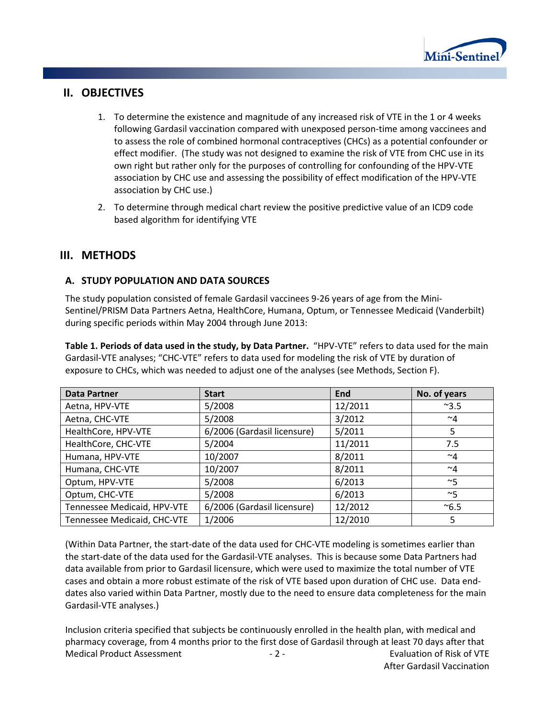

## **II. OBJECTIVES**

- 1. To determine the existence and magnitude of any increased risk of VTE in the 1 or 4 weeks following Gardasil vaccination compared with unexposed person-time among vaccinees and to assess the role of combined hormonal contraceptives (CHCs) as a potential confounder or effect modifier. (The study was not designed to examine the risk of VTE from CHC use in its own right but rather only for the purposes of controlling for confounding of the HPV-VTE association by CHC use and assessing the possibility of effect modification of the HPV-VTE association by CHC use.)
- 2. To determine through medical chart review the positive predictive value of an ICD9 code based algorithm for identifying VTE

## **III. METHODS**

#### **A. STUDY POPULATION AND DATA SOURCES**

The study population consisted of female Gardasil vaccinees 9-26 years of age from the Mini-Sentinel/PRISM Data Partners Aetna, HealthCore, Humana, Optum, or Tennessee Medicaid (Vanderbilt) during specific periods within May 2004 through June 2013:

<span id="page-3-0"></span>**Table 1. Periods of data used in the study, by Data Partner.** "HPV-VTE" refers to data used for the main Gardasil-VTE analyses; "CHC-VTE" refers to data used for modeling the risk of VTE by duration of exposure to CHCs, which was needed to adjust one of the analyses (see Methods, Section F).

| <b>Data Partner</b>         | <b>Start</b>                | <b>End</b> | No. of years |
|-----------------------------|-----------------------------|------------|--------------|
| Aetna, HPV-VTE              | 5/2008                      | 12/2011    | $^{\sim}3.5$ |
| Aetna, CHC-VTE              | 5/2008                      | 3/2012     | $~\sim$ 4    |
| HealthCore, HPV-VTE         | 6/2006 (Gardasil licensure) | 5/2011     | 5            |
| HealthCore, CHC-VTE         | 5/2004                      | 11/2011    | 7.5          |
| Humana, HPV-VTE             | 10/2007                     | 8/2011     | $~\sim$ 4    |
| Humana, CHC-VTE             | 10/2007                     | 8/2011     | $~\sim$ 4    |
| Optum, HPV-VTE              | 5/2008                      | 6/2013     | $~\sim$ 5    |
| Optum, CHC-VTE              | 5/2008                      | 6/2013     | $~\sim$ 5    |
| Tennessee Medicaid, HPV-VTE | 6/2006 (Gardasil licensure) | 12/2012    | $^{\sim}6.5$ |
| Tennessee Medicaid, CHC-VTE | 1/2006                      | 12/2010    | 5            |

(Within Data Partner, the start-date of the data used for CHC-VTE modeling is sometimes earlier than the start-date of the data used for the Gardasil-VTE analyses. This is because some Data Partners had data available from prior to Gardasil licensure, which were used to maximize the total number of VTE cases and obtain a more robust estimate of the risk of VTE based upon duration of CHC use. Data enddates also varied within Data Partner, mostly due to the need to ensure data completeness for the main Gardasil-VTE analyses.)

Inclusion criteria specified that subjects be continuously enrolled in the health plan, with medical and pharmacy coverage, from 4 months prior to the first dose of Gardasil through at least 70 days after that Medical Product Assessment The Communication of Risk of VTE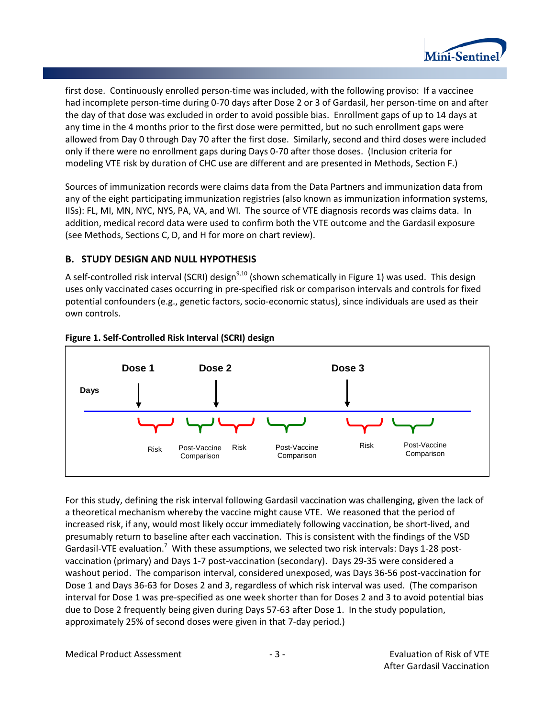

first dose. Continuously enrolled person-time was included, with the following proviso: If a vaccinee had incomplete person-time during 0-70 days after Dose 2 or 3 of Gardasil, her person-time on and after the day of that dose was excluded in order to avoid possible bias. Enrollment gaps of up to 14 days at any time in the 4 months prior to the first dose were permitted, but no such enrollment gaps were allowed from Day 0 through Day 70 after the first dose. Similarly, second and third doses were included only if there were no enrollment gaps during Days 0-70 after those doses. (Inclusion criteria for modeling VTE risk by duration of CHC use are different and are presented in Methods, Section F.)

Sources of immunization records were claims data from the Data Partners and immunization data from any of the eight participating immunization registries (also known as immunization information systems, IISs): FL, MI, MN, NYC, NYS, PA, VA, and WI. The source of VTE diagnosis records was claims data. In addition, medical record data were used to confirm both the VTE outcome and the Gardasil exposure (see Methods, Sections C, D, and H for more on chart review).

#### **B. STUDY DESIGN AND NULL HYPOTHESIS**

A self-controlled risk interval (SCRI) design<sup>9,10</sup> (shown schematically i[n Figure 1\)](#page-4-0) was used. This design uses only vaccinated cases occurring in pre-specified risk or comparison intervals and controls for fixed potential confounders (e.g., genetic factors, socio-economic status), since individuals are used as their own controls.



#### <span id="page-4-0"></span>**Figure 1. Self-Controlled Risk Interval (SCRI) design**

For this study, defining the risk interval following Gardasil vaccination was challenging, given the lack of a theoretical mechanism whereby the vaccine might cause VTE. We reasoned that the period of increased risk, if any, would most likely occur immediately following vaccination, be short-lived, and presumably return to baseline after each vaccination. This is consistent with the findings of the VSD Gardasil-VTE evaluation.<sup>7</sup> With these assumptions, we selected two risk intervals: Days 1-28 postvaccination (primary) and Days 1-7 post-vaccination (secondary). Days 29-35 were considered a washout period. The comparison interval, considered unexposed, was Days 36-56 post-vaccination for Dose 1 and Days 36-63 for Doses 2 and 3, regardless of which risk interval was used. (The comparison interval for Dose 1 was pre-specified as one week shorter than for Doses 2 and 3 to avoid potential bias due to Dose 2 frequently being given during Days 57-63 after Dose 1. In the study population, approximately 25% of second doses were given in that 7-day period.)

Medical Product Assessment The Communication of Risk of VTE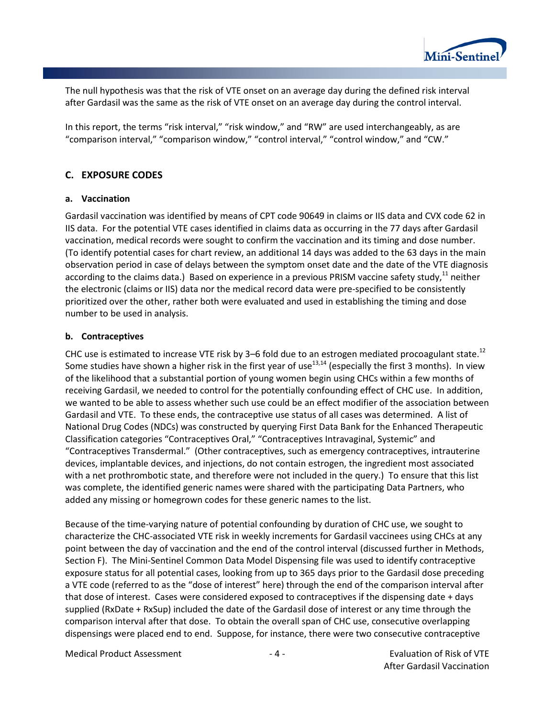

The null hypothesis was that the risk of VTE onset on an average day during the defined risk interval after Gardasil was the same as the risk of VTE onset on an average day during the control interval.

In this report, the terms "risk interval," "risk window," and "RW" are used interchangeably, as are "comparison interval," "comparison window," "control interval," "control window," and "CW."

#### **C. EXPOSURE CODES**

#### **a. Vaccination**

Gardasil vaccination was identified by means of CPT code 90649 in claims or IIS data and CVX code 62 in IIS data. For the potential VTE cases identified in claims data as occurring in the 77 days after Gardasil vaccination, medical records were sought to confirm the vaccination and its timing and dose number. (To identify potential cases for chart review, an additional 14 days was added to the 63 days in the main observation period in case of delays between the symptom onset date and the date of the VTE diagnosis according to the claims data.) Based on experience in a previous PRISM vaccine safety study,<sup>11</sup> neither the electronic (claims or IIS) data nor the medical record data were pre-specified to be consistently prioritized over the other, rather both were evaluated and used in establishing the timing and dose number to be used in analysis.

#### **b. Contraceptives**

CHC use is estimated to increase VTE risk by 3-6 fold due to an estrogen mediated procoagulant state.<sup>12</sup> Some studies have shown a higher risk in the first year of use<sup>13,14</sup> (especially the first 3 months). In view of the likelihood that a substantial portion of young women begin using CHCs within a few months of receiving Gardasil, we needed to control for the potentially confounding effect of CHC use. In addition, we wanted to be able to assess whether such use could be an effect modifier of the association between Gardasil and VTE. To these ends, the contraceptive use status of all cases was determined. A list of National Drug Codes (NDCs) was constructed by querying First Data Bank for the Enhanced Therapeutic Classification categories "Contraceptives Oral," "Contraceptives Intravaginal, Systemic" and "Contraceptives Transdermal." (Other contraceptives, such as emergency contraceptives, intrauterine devices, implantable devices, and injections, do not contain estrogen, the ingredient most associated with a net prothrombotic state, and therefore were not included in the query.) To ensure that this list was complete, the identified generic names were shared with the participating Data Partners, who added any missing or homegrown codes for these generic names to the list.

Because of the time-varying nature of potential confounding by duration of CHC use, we sought to characterize the CHC-associated VTE risk in weekly increments for Gardasil vaccinees using CHCs at any point between the day of vaccination and the end of the control interval (discussed further in Methods, Section F). The Mini-Sentinel Common Data Model Dispensing file was used to identify contraceptive exposure status for all potential cases, looking from up to 365 days prior to the Gardasil dose preceding a VTE code (referred to as the "dose of interest" here) through the end of the comparison interval after that dose of interest. Cases were considered exposed to contraceptives if the dispensing date + days supplied (RxDate + RxSup) included the date of the Gardasil dose of interest or any time through the comparison interval after that dose. To obtain the overall span of CHC use, consecutive overlapping dispensings were placed end to end. Suppose, for instance, there were two consecutive contraceptive

Medical Product Assessment The Communication of Risk of VTE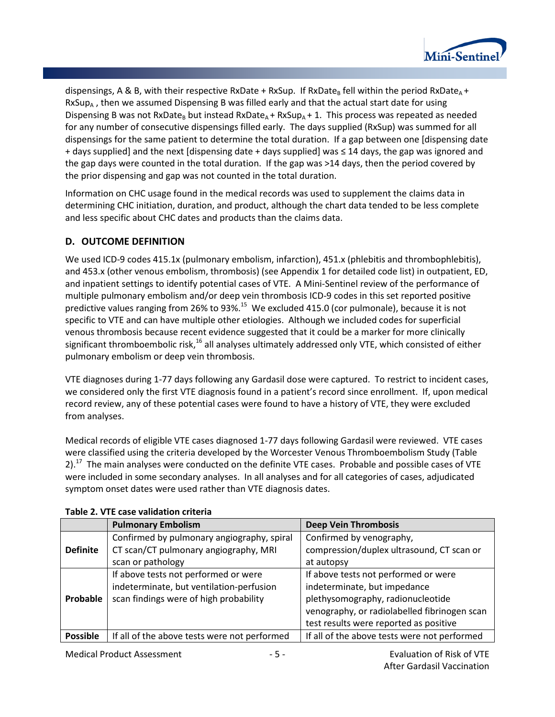

dispensings, A & B, with their respective RxDate + RxSup. If RxDate<sub>a</sub> fell within the period RxDate<sub>a</sub> +  $RxSup_A$ , then we assumed Dispensing B was filled early and that the actual start date for using Dispensing B was not RxDate<sub>B</sub> but instead RxDate<sub>A</sub> + RxSup<sub>A</sub> + 1. This process was repeated as needed for any number of consecutive dispensings filled early. The days supplied (RxSup) was summed for all dispensings for the same patient to determine the total duration. If a gap between one [dispensing date + days supplied] and the next [dispensing date + days supplied] was ≤ 14 days, the gap was ignored and the gap days were counted in the total duration. If the gap was >14 days, then the period covered by the prior dispensing and gap was not counted in the total duration.

Information on CHC usage found in the medical records was used to supplement the claims data in determining CHC initiation, duration, and product, although the chart data tended to be less complete and less specific about CHC dates and products than the claims data.

## **D. OUTCOME DEFINITION**

We used ICD-9 codes 415.1x (pulmonary embolism, infarction), 451.x (phlebitis and thrombophlebitis), and 453.x (other venous embolism, thrombosis) (see [Appendix 1](#page-26-0) for detailed code list) in outpatient, ED, and inpatient settings to identify potential cases of VTE. A Mini-Sentinel review of the performance of multiple pulmonary embolism and/or deep vein thrombosis ICD-9 codes in this set reported positive predictive values ranging from 26% to 93%.<sup>15</sup> We excluded 415.0 (cor pulmonale), because it is not specific to VTE and can have multiple other etiologies. Although we included codes for superficial venous thrombosis because recent evidence suggested that it could be a marker for more clinically significant thromboembolic risk,<sup>16</sup> all analyses ultimately addressed only VTE, which consisted of either pulmonary embolism or deep vein thrombosis.

VTE diagnoses during 1-77 days following any Gardasil dose were captured. To restrict to incident cases, we considered only the first VTE diagnosis found in a patient's record since enrollment. If, upon medical record review, any of these potential cases were found to have a history of VTE, they were excluded from analyses.

Medical records of eligible VTE cases diagnosed 1-77 days following Gardasil were reviewed. VTE cases were classified using the criteria developed by the Worcester Venous Thromboembolism Study [\(Table](#page-6-0)  [2\)](#page-6-0). $^{17}$  The main analyses were conducted on the definite VTE cases. Probable and possible cases of VTE were included in some secondary analyses. In all analyses and for all categories of cases, adjudicated symptom onset dates were used rather than VTE diagnosis dates.

|                 | <b>Pulmonary Embolism</b>                    | <b>Deep Vein Thrombosis</b>                  |
|-----------------|----------------------------------------------|----------------------------------------------|
|                 | Confirmed by pulmonary angiography, spiral   | Confirmed by venography,                     |
| <b>Definite</b> | CT scan/CT pulmonary angiography, MRI        | compression/duplex ultrasound, CT scan or    |
|                 | scan or pathology                            | at autopsy                                   |
|                 | If above tests not performed or were         | If above tests not performed or were         |
|                 | indeterminate, but ventilation-perfusion     | indeterminate, but impedance                 |
| Probable        | scan findings were of high probability       | plethysomography, radionucleotide            |
|                 |                                              | venography, or radiolabelled fibrinogen scan |
|                 |                                              | test results were reported as positive       |
| <b>Possible</b> | If all of the above tests were not performed | If all of the above tests were not performed |

#### <span id="page-6-0"></span>**Table 2. VTE case validation criteria**

Medical Product Assessment  $-5 -$  - Evaluation of Risk of VTE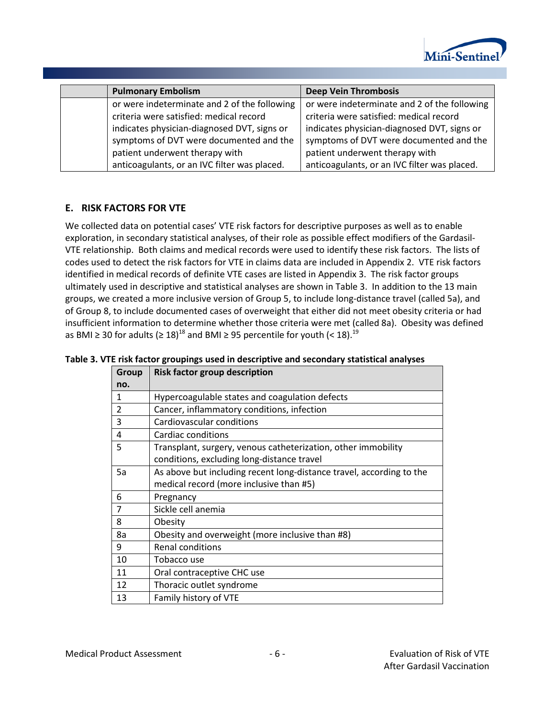

| <b>Pulmonary Embolism</b>                    | <b>Deep Vein Thrombosis</b>                  |
|----------------------------------------------|----------------------------------------------|
| or were indeterminate and 2 of the following | or were indeterminate and 2 of the following |
| criteria were satisfied: medical record      | criteria were satisfied: medical record      |
| indicates physician-diagnosed DVT, signs or  | indicates physician-diagnosed DVT, signs or  |
| symptoms of DVT were documented and the      | symptoms of DVT were documented and the      |
| patient underwent therapy with               | patient underwent therapy with               |
| anticoagulants, or an IVC filter was placed. | anticoagulants, or an IVC filter was placed. |

#### **E. RISK FACTORS FOR VTE**

We collected data on potential cases' VTE risk factors for descriptive purposes as well as to enable exploration, in secondary statistical analyses, of their role as possible effect modifiers of the Gardasil-VTE relationship. Both claims and medical records were used to identify these risk factors. The lists of codes used to detect the risk factors for VTE in claims data are included in [Appendix 2.](#page-28-0) VTE risk factors identified in medical records of definite VTE cases are listed in [Appendix 3.](#page-34-0) The risk factor groups ultimately used in descriptive and statistical analyses are shown in [Table 3.](#page-7-0) In addition to the 13 main groups, we created a more inclusive version of Group 5, to include long-distance travel (called 5a), and of Group 8, to include documented cases of overweight that either did not meet obesity criteria or had insufficient information to determine whether those criteria were met (called 8a). Obesity was defined as BMI ≥ 30 for adults (≥ 18)<sup>18</sup> and BMI ≥ 95 percentile for youth (< 18).<sup>19</sup>

#### <span id="page-7-0"></span>**Table 3. VTE risk factor groupings used in descriptive and secondary statistical analyses**

| Group          | <b>Risk factor group description</b>                                 |
|----------------|----------------------------------------------------------------------|
| no.            |                                                                      |
| 1              | Hypercoagulable states and coagulation defects                       |
| $\overline{2}$ | Cancer, inflammatory conditions, infection                           |
| 3              | Cardiovascular conditions                                            |
| 4              | <b>Cardiac conditions</b>                                            |
| 5              | Transplant, surgery, venous catheterization, other immobility        |
|                | conditions, excluding long-distance travel                           |
| 5a             | As above but including recent long-distance travel, according to the |
|                | medical record (more inclusive than #5)                              |
| 6              | Pregnancy                                                            |
| 7              | Sickle cell anemia                                                   |
| 8              | Obesity                                                              |
| 8a             | Obesity and overweight (more inclusive than #8)                      |
| 9              | Renal conditions                                                     |
| 10             | Tobacco use                                                          |
| 11             | Oral contraceptive CHC use                                           |
| 12             | Thoracic outlet syndrome                                             |
| 13             | Family history of VTE                                                |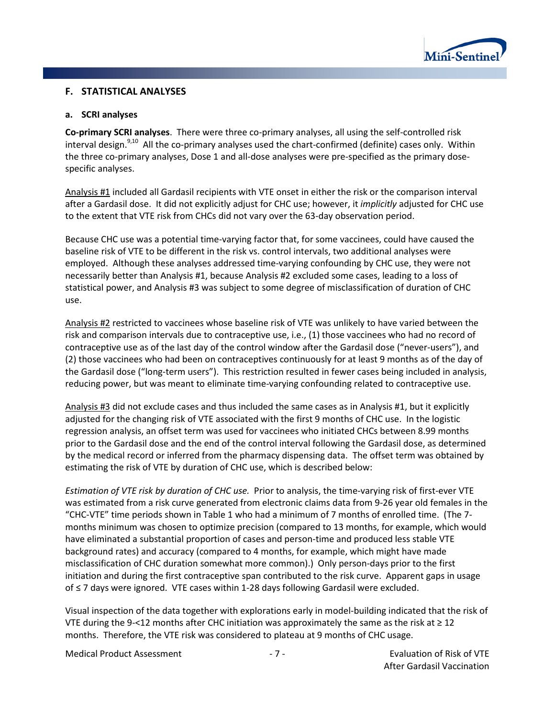

#### **F. STATISTICAL ANALYSES**

#### **a. SCRI analyses**

**Co-primary SCRI analyses**. There were three co-primary analyses, all using the self-controlled risk interval design.<sup>9,10</sup> All the co-primary analyses used the chart-confirmed (definite) cases only. Within the three co-primary analyses, Dose 1 and all-dose analyses were pre-specified as the primary dosespecific analyses.

Analysis #1 included all Gardasil recipients with VTE onset in either the risk or the comparison interval after a Gardasil dose. It did not explicitly adjust for CHC use; however, it *implicitly* adjusted for CHC use to the extent that VTE risk from CHCs did not vary over the 63-day observation period.

Because CHC use was a potential time-varying factor that, for some vaccinees, could have caused the baseline risk of VTE to be different in the risk vs. control intervals, two additional analyses were employed. Although these analyses addressed time-varying confounding by CHC use, they were not necessarily better than Analysis #1, because Analysis #2 excluded some cases, leading to a loss of statistical power, and Analysis #3 was subject to some degree of misclassification of duration of CHC use.

Analysis #2 restricted to vaccinees whose baseline risk of VTE was unlikely to have varied between the risk and comparison intervals due to contraceptive use, i.e., (1) those vaccinees who had no record of contraceptive use as of the last day of the control window after the Gardasil dose ("never-users"), and (2) those vaccinees who had been on contraceptives continuously for at least 9 months as of the day of the Gardasil dose ("long-term users"). This restriction resulted in fewer cases being included in analysis, reducing power, but was meant to eliminate time-varying confounding related to contraceptive use.

Analysis #3 did not exclude cases and thus included the same cases as in Analysis #1, but it explicitly adjusted for the changing risk of VTE associated with the first 9 months of CHC use. In the logistic regression analysis, an offset term was used for vaccinees who initiated CHCs between 8.99 months prior to the Gardasil dose and the end of the control interval following the Gardasil dose, as determined by the medical record or inferred from the pharmacy dispensing data. The offset term was obtained by estimating the risk of VTE by duration of CHC use, which is described below:

*Estimation of VTE risk by duration of CHC use.* Prior to analysis, the time-varying risk of first-ever VTE was estimated from a risk curve generated from electronic claims data from 9-26 year old females in the "CHC-VTE" time periods shown i[n Table 1](#page-3-0) who had a minimum of 7 months of enrolled time. (The 7 months minimum was chosen to optimize precision (compared to 13 months, for example, which would have eliminated a substantial proportion of cases and person-time and produced less stable VTE background rates) and accuracy (compared to 4 months, for example, which might have made misclassification of CHC duration somewhat more common).) Only person-days prior to the first initiation and during the first contraceptive span contributed to the risk curve. Apparent gaps in usage of ≤ 7 days were ignored. VTE cases within 1-28 days following Gardasil were excluded.

Visual inspection of the data together with explorations early in model-building indicated that the risk of VTE during the 9-<12 months after CHC initiation was approximately the same as the risk at ≥ 12 months. Therefore, the VTE risk was considered to plateau at 9 months of CHC usage.

Medical Product Assessment The Communication of Risk of VTE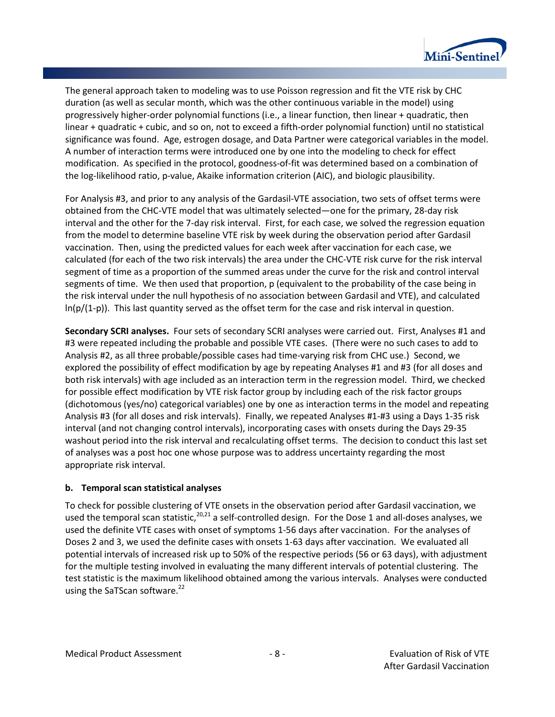

The general approach taken to modeling was to use Poisson regression and fit the VTE risk by CHC duration (as well as secular month, which was the other continuous variable in the model) using progressively higher-order polynomial functions (i.e., a linear function, then linear + quadratic, then linear + quadratic + cubic, and so on, not to exceed a fifth-order polynomial function) until no statistical significance was found. Age, estrogen dosage, and Data Partner were categorical variables in the model. A number of interaction terms were introduced one by one into the modeling to check for effect modification. As specified in the protocol, goodness-of-fit was determined based on a combination of the log-likelihood ratio, p-value, Akaike information criterion (AIC), and biologic plausibility.

For Analysis #3, and prior to any analysis of the Gardasil-VTE association, two sets of offset terms were obtained from the CHC-VTE model that was ultimately selected—one for the primary, 28-day risk interval and the other for the 7-day risk interval. First, for each case, we solved the regression equation from the model to determine baseline VTE risk by week during the observation period after Gardasil vaccination. Then, using the predicted values for each week after vaccination for each case, we calculated (for each of the two risk intervals) the area under the CHC-VTE risk curve for the risk interval segment of time as a proportion of the summed areas under the curve for the risk and control interval segments of time. We then used that proportion, p (equivalent to the probability of the case being in the risk interval under the null hypothesis of no association between Gardasil and VTE), and calculated  $ln(p/(1-p))$ . This last quantity served as the offset term for the case and risk interval in question.

**Secondary SCRI analyses.** Four sets of secondary SCRI analyses were carried out. First, Analyses #1 and #3 were repeated including the probable and possible VTE cases. (There were no such cases to add to Analysis #2, as all three probable/possible cases had time-varying risk from CHC use.) Second, we explored the possibility of effect modification by age by repeating Analyses #1 and #3 (for all doses and both risk intervals) with age included as an interaction term in the regression model. Third, we checked for possible effect modification by VTE risk factor group by including each of the risk factor groups (dichotomous (yes/no) categorical variables) one by one as interaction terms in the model and repeating Analysis #3 (for all doses and risk intervals). Finally, we repeated Analyses #1-#3 using a Days 1-35 risk interval (and not changing control intervals), incorporating cases with onsets during the Days 29-35 washout period into the risk interval and recalculating offset terms. The decision to conduct this last set of analyses was a post hoc one whose purpose was to address uncertainty regarding the most appropriate risk interval.

#### **b. Temporal scan statistical analyses**

To check for possible clustering of VTE onsets in the observation period after Gardasil vaccination, we used the temporal scan statistic,  $20,21$  a self-controlled design. For the Dose 1 and all-doses analyses, we used the definite VTE cases with onset of symptoms 1-56 days after vaccination. For the analyses of Doses 2 and 3, we used the definite cases with onsets 1-63 days after vaccination. We evaluated all potential intervals of increased risk up to 50% of the respective periods (56 or 63 days), with adjustment for the multiple testing involved in evaluating the many different intervals of potential clustering. The test statistic is the maximum likelihood obtained among the various intervals. Analyses were conducted using the SaTScan software.<sup>22</sup>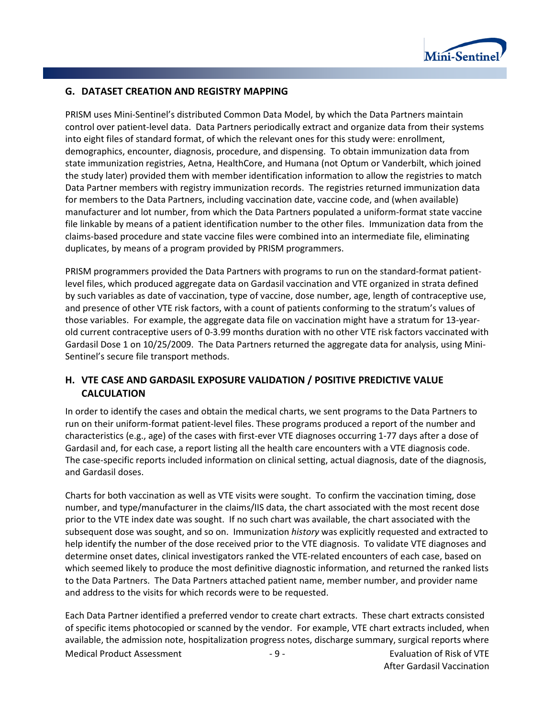

#### **G. DATASET CREATION AND REGISTRY MAPPING**

PRISM uses Mini-Sentinel's distributed Common Data Model, by which the Data Partners maintain control over patient-level data. Data Partners periodically extract and organize data from their systems into eight files of standard format, of which the relevant ones for this study were: enrollment, demographics, encounter, diagnosis, procedure, and dispensing. To obtain immunization data from state immunization registries, Aetna, HealthCore, and Humana (not Optum or Vanderbilt, which joined the study later) provided them with member identification information to allow the registries to match Data Partner members with registry immunization records. The registries returned immunization data for members to the Data Partners, including vaccination date, vaccine code, and (when available) manufacturer and lot number, from which the Data Partners populated a uniform-format state vaccine file linkable by means of a patient identification number to the other files. Immunization data from the claims-based procedure and state vaccine files were combined into an intermediate file, eliminating duplicates, by means of a program provided by PRISM programmers.

PRISM programmers provided the Data Partners with programs to run on the standard-format patientlevel files, which produced aggregate data on Gardasil vaccination and VTE organized in strata defined by such variables as date of vaccination, type of vaccine, dose number, age, length of contraceptive use, and presence of other VTE risk factors, with a count of patients conforming to the stratum's values of those variables. For example, the aggregate data file on vaccination might have a stratum for 13-yearold current contraceptive users of 0-3.99 months duration with no other VTE risk factors vaccinated with Gardasil Dose 1 on 10/25/2009. The Data Partners returned the aggregate data for analysis, using Mini-Sentinel's secure file transport methods.

## **H. VTE CASE AND GARDASIL EXPOSURE VALIDATION / POSITIVE PREDICTIVE VALUE CALCULATION**

In order to identify the cases and obtain the medical charts, we sent programs to the Data Partners to run on their uniform-format patient-level files. These programs produced a report of the number and characteristics (e.g., age) of the cases with first-ever VTE diagnoses occurring 1-77 days after a dose of Gardasil and, for each case, a report listing all the health care encounters with a VTE diagnosis code. The case-specific reports included information on clinical setting, actual diagnosis, date of the diagnosis, and Gardasil doses.

Charts for both vaccination as well as VTE visits were sought. To confirm the vaccination timing, dose number, and type/manufacturer in the claims/IIS data, the chart associated with the most recent dose prior to the VTE index date was sought. If no such chart was available, the chart associated with the subsequent dose was sought, and so on. Immunization *history* was explicitly requested and extracted to help identify the number of the dose received prior to the VTE diagnosis. To validate VTE diagnoses and determine onset dates, clinical investigators ranked the VTE-related encounters of each case, based on which seemed likely to produce the most definitive diagnostic information, and returned the ranked lists to the Data Partners. The Data Partners attached patient name, member number, and provider name and address to the visits for which records were to be requested.

Each Data Partner identified a preferred vendor to create chart extracts. These chart extracts consisted of specific items photocopied or scanned by the vendor. For example, VTE chart extracts included, when available, the admission note, hospitalization progress notes, discharge summary, surgical reports where Medical Product Assessment The Communication of Risk of VTE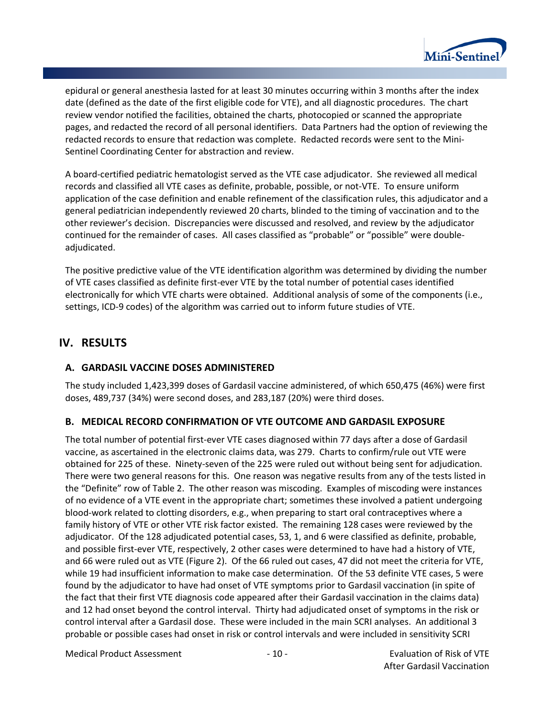

epidural or general anesthesia lasted for at least 30 minutes occurring within 3 months after the index date (defined as the date of the first eligible code for VTE), and all diagnostic procedures. The chart review vendor notified the facilities, obtained the charts, photocopied or scanned the appropriate pages, and redacted the record of all personal identifiers. Data Partners had the option of reviewing the redacted records to ensure that redaction was complete. Redacted records were sent to the Mini-Sentinel Coordinating Center for abstraction and review.

A board-certified pediatric hematologist served as the VTE case adjudicator. She reviewed all medical records and classified all VTE cases as definite, probable, possible, or not-VTE. To ensure uniform application of the case definition and enable refinement of the classification rules, this adjudicator and a general pediatrician independently reviewed 20 charts, blinded to the timing of vaccination and to the other reviewer's decision. Discrepancies were discussed and resolved, and review by the adjudicator continued for the remainder of cases. All cases classified as "probable" or "possible" were doubleadjudicated.

The positive predictive value of the VTE identification algorithm was determined by dividing the number of VTE cases classified as definite first-ever VTE by the total number of potential cases identified electronically for which VTE charts were obtained. Additional analysis of some of the components (i.e., settings, ICD-9 codes) of the algorithm was carried out to inform future studies of VTE.

## **IV. RESULTS**

#### **A. GARDASIL VACCINE DOSES ADMINISTERED**

The study included 1,423,399 doses of Gardasil vaccine administered, of which 650,475 (46%) were first doses, 489,737 (34%) were second doses, and 283,187 (20%) were third doses.

#### **B. MEDICAL RECORD CONFIRMATION OF VTE OUTCOME AND GARDASIL EXPOSURE**

The total number of potential first-ever VTE cases diagnosed within 77 days after a dose of Gardasil vaccine, as ascertained in the electronic claims data, was 279. Charts to confirm/rule out VTE were obtained for 225 of these. Ninety-seven of the 225 were ruled out without being sent for adjudication. There were two general reasons for this. One reason was negative results from any of the tests listed in the "Definite" row of [Table 2.](#page-6-0) The other reason was miscoding. Examples of miscoding were instances of no evidence of a VTE event in the appropriate chart; sometimes these involved a patient undergoing blood-work related to clotting disorders, e.g., when preparing to start oral contraceptives where a family history of VTE or other VTE risk factor existed. The remaining 128 cases were reviewed by the adjudicator. Of the 128 adjudicated potential cases, 53, 1, and 6 were classified as definite, probable, and possible first-ever VTE, respectively, 2 other cases were determined to have had a history of VTE, and 66 were ruled out as VTE [\(Figure 2\)](#page-12-0). Of the 66 ruled out cases, 47 did not meet the criteria for VTE, while 19 had insufficient information to make case determination. Of the 53 definite VTE cases, 5 were found by the adjudicator to have had onset of VTE symptoms prior to Gardasil vaccination (in spite of the fact that their first VTE diagnosis code appeared after their Gardasil vaccination in the claims data) and 12 had onset beyond the control interval. Thirty had adjudicated onset of symptoms in the risk or control interval after a Gardasil dose. These were included in the main SCRI analyses. An additional 3 probable or possible cases had onset in risk or control intervals and were included in sensitivity SCRI

Medical Product Assessment The Contract of Library of Library 2016 - 10 - The Evaluation of Risk of VTE

After Gardasil Vaccination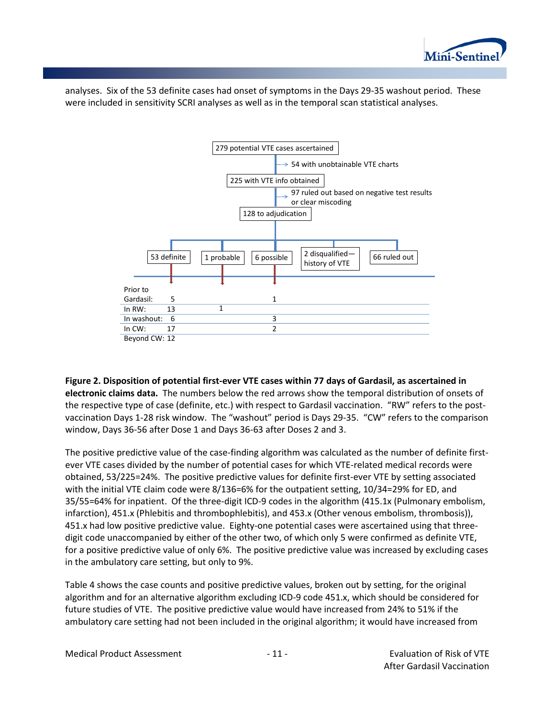

analyses. Six of the 53 definite cases had onset of symptoms in the Days 29-35 washout period. These were included in sensitivity SCRI analyses as well as in the temporal scan statistical analyses.



<span id="page-12-0"></span>**Figure 2. Disposition of potential first-ever VTE cases within 77 days of Gardasil, as ascertained in electronic claims data.** The numbers below the red arrows show the temporal distribution of onsets of the respective type of case (definite, etc.) with respect to Gardasil vaccination. "RW" refers to the postvaccination Days 1-28 risk window. The "washout" period is Days 29-35. "CW" refers to the comparison window, Days 36-56 after Dose 1 and Days 36-63 after Doses 2 and 3.

The positive predictive value of the case-finding algorithm was calculated as the number of definite firstever VTE cases divided by the number of potential cases for which VTE-related medical records were obtained, 53/225=24%. The positive predictive values for definite first-ever VTE by setting associated with the initial VTE claim code were 8/136=6% for the outpatient setting, 10/34=29% for ED, and 35/55=64% for inpatient. Of the three-digit ICD-9 codes in the algorithm (415.1x (Pulmonary embolism, infarction), 451.x (Phlebitis and thrombophlebitis), and 453.x (Other venous embolism, thrombosis)), 451.x had low positive predictive value. Eighty-one potential cases were ascertained using that threedigit code unaccompanied by either of the other two, of which only 5 were confirmed as definite VTE, for a positive predictive value of only 6%. The positive predictive value was increased by excluding cases in the ambulatory care setting, but only to 9%.

[Table 4](#page-13-0) shows the case counts and positive predictive values, broken out by setting, for the original algorithm and for an alternative algorithm excluding ICD-9 code 451.x, which should be considered for future studies of VTE. The positive predictive value would have increased from 24% to 51% if the ambulatory care setting had not been included in the original algorithm; it would have increased from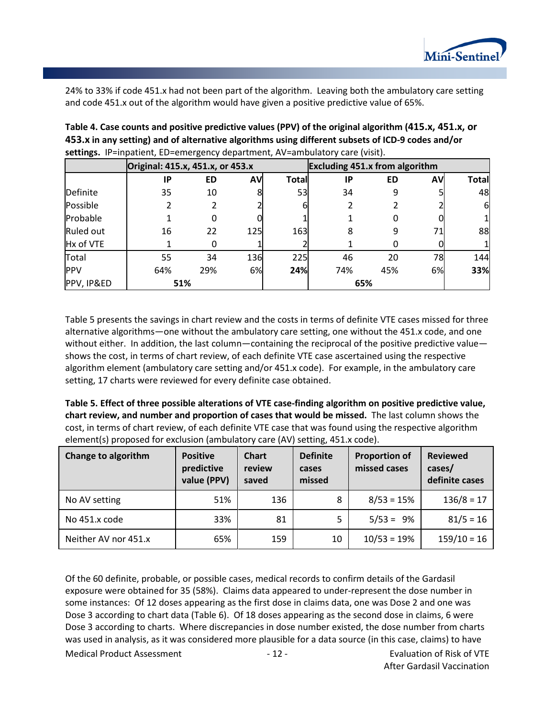24% to 33% if code 451.x had not been part of the algorithm. Leaving both the ambulatory care setting and code 451.x out of the algorithm would have given a positive predictive value of 65%.

|            | Original: 415.x, 451.x, or 453.x |           |            |              | <b>Excluding 451.x from algorithm</b> |     |            |              |  |
|------------|----------------------------------|-----------|------------|--------------|---------------------------------------|-----|------------|--------------|--|
|            | IP                               | <b>ED</b> | <b>AVI</b> | <b>Total</b> | IP                                    | ED  | <b>AVI</b> | <b>Total</b> |  |
| Definite   | 35                               | 10        | 8          | 53           | 34                                    | 9   |            | 48           |  |
| Possible   |                                  |           |            | 6            |                                       |     |            | 6            |  |
| Probable   |                                  | 0         |            |              |                                       | O   |            |              |  |
| Ruled out  | 16                               | 22        | 125        | 163          | 8                                     | 9   |            | 88           |  |
| Hx of VTE  |                                  |           |            |              |                                       |     |            |              |  |
| Total      | 55                               | 34        | 136        | 225          | 46                                    | 20  | 78         | 144          |  |
| <b>PPV</b> | 64%                              | 29%       | 6%         | 24%          | 74%                                   | 45% | 6%         | 33%          |  |
| PPV, IP&ED |                                  | 51%       |            |              |                                       | 65% |            |              |  |

<span id="page-13-0"></span>**Table 4. Case counts and positive predictive values (PPV) of the original algorithm (415.x, 451.x, or 453.x in any setting) and of alternative algorithms using different subsets of ICD-9 codes and/or settings.** IP=inpatient, ED=emergency department, AV=ambulatory care (visit).

[Table 5](#page-13-1) presents the savings in chart review and the costs in terms of definite VTE cases missed for three alternative algorithms—one without the ambulatory care setting, one without the 451.x code, and one without either. In addition, the last column—containing the reciprocal of the positive predictive value shows the cost, in terms of chart review, of each definite VTE case ascertained using the respective algorithm element (ambulatory care setting and/or 451.x code). For example, in the ambulatory care setting, 17 charts were reviewed for every definite case obtained.

<span id="page-13-1"></span>**Table 5. Effect of three possible alterations of VTE case-finding algorithm on positive predictive value, chart review, and number and proportion of cases that would be missed.** The last column shows the cost, in terms of chart review, of each definite VTE case that was found using the respective algorithm element(s) proposed for exclusion (ambulatory care (AV) setting, 451.x code).

| Change to algorithm  | <b>Positive</b><br>predictive<br>value (PPV) | <b>Chart</b><br>review<br>saved | <b>Definite</b><br>cases<br>missed | <b>Proportion of</b><br>missed cases | <b>Reviewed</b><br>cases/<br>definite cases |
|----------------------|----------------------------------------------|---------------------------------|------------------------------------|--------------------------------------|---------------------------------------------|
| No AV setting        | 51%                                          | 136                             | 8                                  | $8/53 = 15%$                         | $136/8 = 17$                                |
| No 451.x code        | 33%                                          | 81                              | 5                                  | $5/53 = 9%$                          | $81/5 = 16$                                 |
| Neither AV nor 451.x | 65%                                          | 159                             | 10                                 | $10/53 = 19%$                        | $159/10 = 16$                               |

Of the 60 definite, probable, or possible cases, medical records to confirm details of the Gardasil exposure were obtained for 35 (58%). Claims data appeared to under-represent the dose number in some instances: Of 12 doses appearing as the first dose in claims data, one was Dose 2 and one was Dose 3 according to chart data [\(Table 6\)](#page-14-0). Of 18 doses appearing as the second dose in claims, 6 were Dose 3 according to charts. Where discrepancies in dose number existed, the dose number from charts was used in analysis, as it was considered more plausible for a data source (in this case, claims) to have

Medical Product Assessment - 12 - Evaluation of Risk of VTE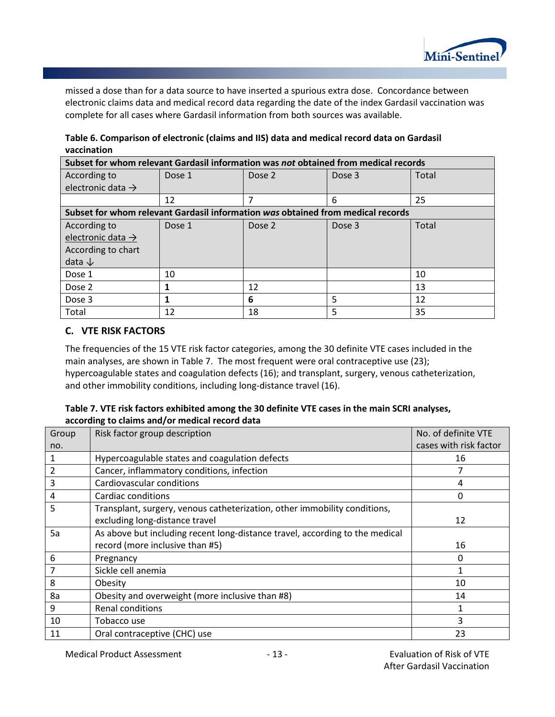

missed a dose than for a data source to have inserted a spurious extra dose. Concordance between electronic claims data and medical record data regarding the date of the index Gardasil vaccination was complete for all cases where Gardasil information from both sources was available.

<span id="page-14-0"></span>

| Table 6. Comparison of electronic (claims and IIS) data and medical record data on Gardasil |  |
|---------------------------------------------------------------------------------------------|--|
| vaccination                                                                                 |  |

| Subset for whom relevant Gardasil information was not obtained from medical records |        |        |        |       |
|-------------------------------------------------------------------------------------|--------|--------|--------|-------|
| According to                                                                        | Dose 1 | Dose 2 | Dose 3 | Total |
| electronic data $\rightarrow$                                                       |        |        |        |       |
|                                                                                     | 12     |        | 6      | 25    |
| Subset for whom relevant Gardasil information was obtained from medical records     |        |        |        |       |
| According to                                                                        | Dose 1 | Dose 2 | Dose 3 | Total |
| electronic data $\rightarrow$                                                       |        |        |        |       |
| According to chart                                                                  |        |        |        |       |
| data $\downarrow$                                                                   |        |        |        |       |
| Dose 1                                                                              | 10     |        |        | 10    |
| Dose 2                                                                              | 1      | 12     |        | 13    |
| Dose 3                                                                              | 1      | 6      | 5      | 12    |
| Total                                                                               | 12     | 18     | 5      | 35    |

#### **C. VTE RISK FACTORS**

The frequencies of the 15 VTE risk factor categories, among the 30 definite VTE cases included in the main analyses, are shown in [Table 7.](#page-14-1) The most frequent were oral contraceptive use (23); hypercoagulable states and coagulation defects (16); and transplant, surgery, venous catheterization, and other immobility conditions, including long-distance travel (16).

#### <span id="page-14-1"></span>**Table 7. VTE risk factors exhibited among the 30 definite VTE cases in the main SCRI analyses, according to claims and/or medical record data**

| Group | Risk factor group description                                                | No. of definite VTE    |
|-------|------------------------------------------------------------------------------|------------------------|
| no.   |                                                                              | cases with risk factor |
|       | Hypercoagulable states and coagulation defects                               | 16                     |
| 2     | Cancer, inflammatory conditions, infection                                   |                        |
| 3     | Cardiovascular conditions                                                    | 4                      |
| 4     | Cardiac conditions                                                           | 0                      |
| 5     | Transplant, surgery, venous catheterization, other immobility conditions,    |                        |
|       | excluding long-distance travel                                               | 12                     |
| 5a    | As above but including recent long-distance travel, according to the medical |                        |
|       | record (more inclusive than #5)                                              | 16                     |
| 6     | Pregnancy                                                                    | 0                      |
| 7     | Sickle cell anemia                                                           | 1                      |
| 8     | Obesity                                                                      | 10                     |
| 8a    | Obesity and overweight (more inclusive than #8)                              | 14                     |
| 9     | Renal conditions                                                             | 1                      |
| 10    | Tobacco use                                                                  | 3                      |
| 11    | Oral contraceptive (CHC) use                                                 | 23                     |

Medical Product Assessment The Communication of Risk of VTE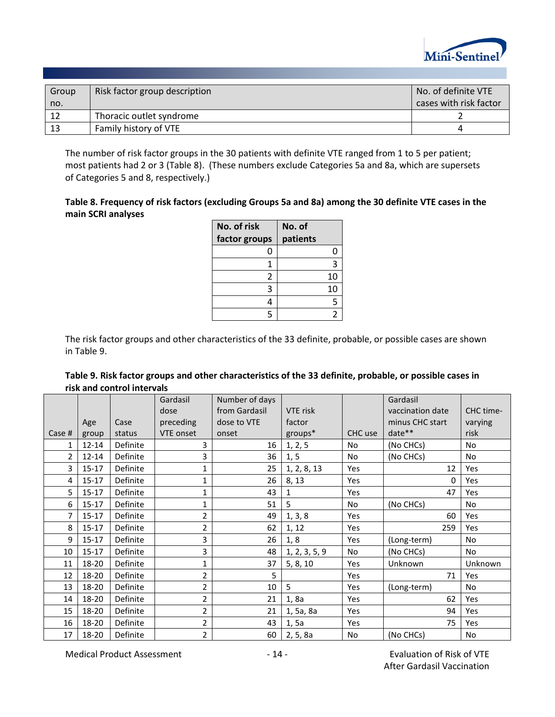

| Group | Risk factor group description | No. of definite VTE    |
|-------|-------------------------------|------------------------|
| no.   |                               | cases with risk factor |
|       | Thoracic outlet syndrome      |                        |
| -13   | Family history of VTE         |                        |

The number of risk factor groups in the 30 patients with definite VTE ranged from 1 to 5 per patient; most patients had 2 or 3 [\(Table 8\)](#page-15-0). (These numbers exclude Categories 5a and 8a, which are supersets of Categories 5 and 8, respectively.)

#### <span id="page-15-0"></span>**Table 8. Frequency of risk factors (excluding Groups 5a and 8a) among the 30 definite VTE cases in the main SCRI analyses**

| No. of risk   | No. of   |
|---------------|----------|
| factor groups | patients |
|               | 0        |
|               | 3        |
| 2             | 10       |
| 3             | 10       |
|               | 5        |
| ς             | 7        |

The risk factor groups and other characteristics of the 33 definite, probable, or possible cases are shown in [Table 9.](#page-15-1)

#### <span id="page-15-1"></span>**Table 9. Risk factor groups and other characteristics of the 33 definite, probable, or possible cases in risk and control intervals**

|        |           |          | Gardasil         | Number of days |                 |         | Gardasil         |            |
|--------|-----------|----------|------------------|----------------|-----------------|---------|------------------|------------|
|        |           |          | dose             | from Gardasil  | <b>VTE risk</b> |         | vaccination date | CHC time-  |
|        | Age       | Case     | preceding        | dose to VTE    | factor          |         | minus CHC start  | varying    |
| Case # | group     | status   | <b>VTE onset</b> | onset          | groups*         | CHC use | date**           | risk       |
| 1      | $12 - 14$ | Definite | 3                | 16             | 1, 2, 5         | No      | (No CHCs)        | <b>No</b>  |
| 2      | $12 - 14$ | Definite | 3                | 36             | 1, 5            | No      | (No CHCs)        | No         |
| 3      | $15 - 17$ | Definite | 1                | 25             | 1, 2, 8, 13     | Yes     | 12               | Yes        |
| 4      | $15 - 17$ | Definite | 1                | 26             | 8, 13           | Yes     | 0                | <b>Yes</b> |
| 5      | $15 - 17$ | Definite | $\mathbf{1}$     | 43             | 1               | Yes     | 47               | Yes        |
| 6      | $15 - 17$ | Definite | $\mathbf{1}$     | 51             | 5               | No      | (No CHCs)        | No.        |
| 7      | $15 - 17$ | Definite | $\overline{2}$   | 49             | 1, 3, 8         | Yes     | 60               | Yes        |
| 8      | $15 - 17$ | Definite | 2                | 62             | 1, 12           | Yes     | 259              | Yes        |
| 9      | $15 - 17$ | Definite | 3                | 26             | 1, 8            | Yes     | (Long-term)      | No.        |
| 10     | $15 - 17$ | Definite | 3                | 48             | 1, 2, 3, 5, 9   | No      | (No CHCs)        | No         |
| 11     | 18-20     | Definite | 1                | 37             | 5, 8, 10        | Yes     | Unknown          | Unknown    |
| 12     | 18-20     | Definite | $\overline{2}$   | 5              |                 | Yes     | 71               | Yes        |
| 13     | 18-20     | Definite | 2                | 10             | 5               | Yes     | (Long-term)      | No.        |
| 14     | 18-20     | Definite | 2                | 21             | 1, 8a           | Yes     | 62               | <b>Yes</b> |
| 15     | 18-20     | Definite | 2                | 21             | 1, 5a, 8a       | Yes     | 94               | Yes        |
| 16     | 18-20     | Definite | 2                | 43             | 1, 5a           | Yes     | 75               | Yes        |
| 17     | 18-20     | Definite | $\overline{2}$   | 60             | 2, 5, 8a        | No      | (No CHCs)        | No         |

Medical Product Assessment The Communication of Risk of VTE

After Gardasil Vaccination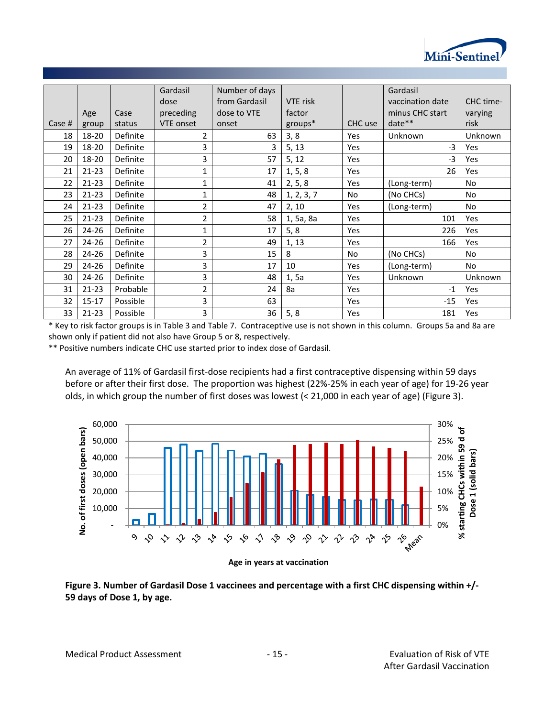

|        |           |          | Gardasil         | Number of days |                 |           | Gardasil         |            |
|--------|-----------|----------|------------------|----------------|-----------------|-----------|------------------|------------|
|        |           |          | dose             | from Gardasil  | <b>VTE risk</b> |           | vaccination date | CHC time-  |
|        | Age       | Case     | preceding        | dose to VTE    | factor          |           | minus CHC start  | varying    |
| Case # | group     | status   | <b>VTE onset</b> | onset          | $groups*$       | CHC use   | $date**$         | risk       |
| 18     | 18-20     | Definite | 2                | 63             | 3, 8            | Yes       | Unknown          | Unknown    |
| 19     | 18-20     | Definite | 3                | 3              | 5, 13           | Yes       | $-3$             | <b>Yes</b> |
| 20     | 18-20     | Definite | 3                | 57             | 5, 12           | Yes       | $-3$             | Yes        |
| 21     | $21 - 23$ | Definite | 1                | 17             | 1, 5, 8         | Yes       | 26               | <b>Yes</b> |
| 22     | $21 - 23$ | Definite | $\mathbf{1}$     | 41             | 2, 5, 8         | Yes       | (Long-term)      | No.        |
| 23     | $21 - 23$ | Definite | 1                | 48             | 1, 2, 3, 7      | <b>No</b> | (No CHCs)        | No.        |
| 24     | $21 - 23$ | Definite | 2                | 47             | 2, 10           | Yes       | (Long-term)      | No         |
| 25     | $21 - 23$ | Definite | 2                | 58             | 1, 5a, 8a       | Yes       | 101              | <b>Yes</b> |
| 26     | $24 - 26$ | Definite | 1                | 17             | 5, 8            | Yes       | 226              | Yes        |
| 27     | $24 - 26$ | Definite | 2                | 49             | 1, 13           | Yes       | 166              | Yes        |
| 28     | 24-26     | Definite | 3                | 15             | 8               | <b>No</b> | (No CHCs)        | No.        |
| 29     | 24-26     | Definite | 3                | 17             | 10              | Yes       | (Long-term)      | No         |
| 30     | 24-26     | Definite | 3                | 48             | 1, 5a           | Yes       | Unknown          | Unknown    |
| 31     | $21-23$   | Probable | $\overline{2}$   | 24             | 8a              | Yes       | $-1$             | Yes        |
| 32     | $15 - 17$ | Possible | 3                | 63             |                 | Yes       | $-15$            | Yes        |
| 33     | $21 - 23$ | Possible | 3                | 36             | 5, 8            | Yes       | 181              | Yes        |

\* Key to risk factor groups is in [Table 3](#page-7-0) an[d Table 7.](#page-14-1) Contraceptive use is not shown in this column. Groups 5a and 8a are shown only if patient did not also have Group 5 or 8, respectively.

\*\* Positive numbers indicate CHC use started prior to index dose of Gardasil.

An average of 11% of Gardasil first-dose recipients had a first contraceptive dispensing within 59 days before or after their first dose. The proportion was highest (22%-25% in each year of age) for 19-26 year olds, in which group the number of first doses was lowest (< 21,000 in each year of age) [\(Figure 3\)](#page-16-0).





#### <span id="page-16-0"></span>**Figure 3. Number of Gardasil Dose 1 vaccinees and percentage with a first CHC dispensing within +/- 59 days of Dose 1, by age.**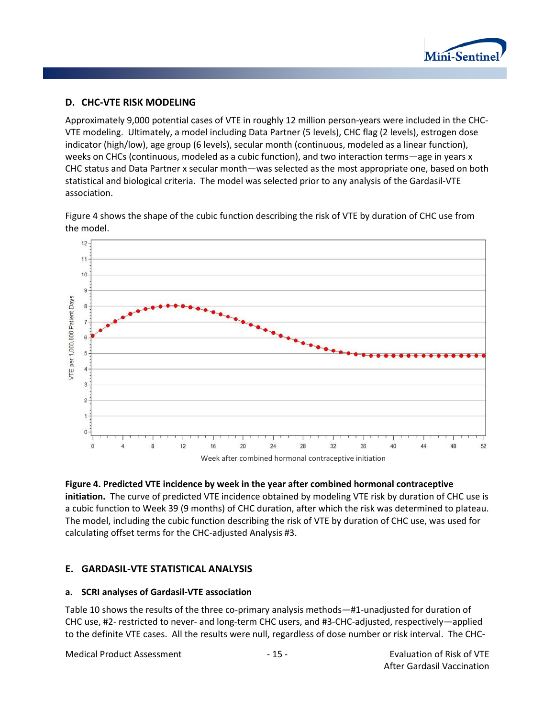

#### **D. CHC-VTE RISK MODELING**

Approximately 9,000 potential cases of VTE in roughly 12 million person-years were included in the CHC-VTE modeling. Ultimately, a model including Data Partner (5 levels), CHC flag (2 levels), estrogen dose indicator (high/low), age group (6 levels), secular month (continuous, modeled as a linear function), weeks on CHCs (continuous, modeled as a cubic function), and two interaction terms—age in years x CHC status and Data Partner x secular month—was selected as the most appropriate one, based on both statistical and biological criteria. The model was selected prior to any analysis of the Gardasil-VTE association.

[Figure 4](#page-17-0) shows the shape of the cubic function describing the risk of VTE by duration of CHC use from the model.



<span id="page-17-0"></span>**Figure 4. Predicted VTE incidence by week in the year after combined hormonal contraceptive initiation.** The curve of predicted VTE incidence obtained by modeling VTE risk by duration of CHC use is a cubic function to Week 39 (9 months) of CHC duration, after which the risk was determined to plateau. The model, including the cubic function describing the risk of VTE by duration of CHC use, was used for calculating offset terms for the CHC-adjusted Analysis #3.

#### **E. GARDASIL-VTE STATISTICAL ANALYSIS**

#### **a. SCRI analyses of Gardasil-VTE association**

[Table 10](#page-18-0) shows the results of the three co-primary analysis methods—#1-unadjusted for duration of CHC use, #2- restricted to never- and long-term CHC users, and #3-CHC-adjusted, respectively—applied to the definite VTE cases. All the results were null, regardless of dose number or risk interval. The CHC-

Medical Product Assessment - 15 - Evaluation of Risk of VTE

After Gardasil Vaccination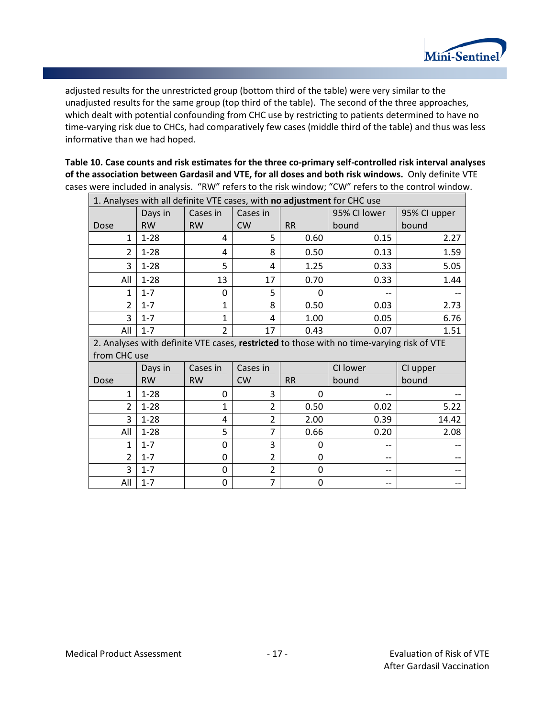

adjusted results for the unrestricted group (bottom third of the table) were very similar to the unadjusted results for the same group (top third of the table). The second of the three approaches, which dealt with potential confounding from CHC use by restricting to patients determined to have no time-varying risk due to CHCs, had comparatively few cases (middle third of the table) and thus was less informative than we had hoped.

<span id="page-18-0"></span>**Table 10. Case counts and risk estimates for the three co-primary self-controlled risk interval analyses of the association between Gardasil and VTE, for all doses and both risk windows.** Only definite VTE cases were included in analysis. "RW" refers to the risk window; "CW" refers to the control window.

| 1. Analyses with all definite VTE cases, with no adjustment for CHC use |           |                |                |           |                                                                                           |              |  |  |
|-------------------------------------------------------------------------|-----------|----------------|----------------|-----------|-------------------------------------------------------------------------------------------|--------------|--|--|
|                                                                         | Days in   | Cases in       | Cases in       |           | 95% CI lower                                                                              | 95% Cl upper |  |  |
| Dose                                                                    | <b>RW</b> | <b>RW</b>      | <b>CW</b>      | <b>RR</b> | bound                                                                                     | bound        |  |  |
| $\mathbf{1}$                                                            | $1 - 28$  | 4              | 5              | 0.60      | 0.15                                                                                      | 2.27         |  |  |
| $\overline{2}$                                                          | $1 - 28$  | 4              | 8              | 0.50      | 0.13                                                                                      | 1.59         |  |  |
| 3                                                                       | $1 - 28$  | 5              | 4              | 1.25      | 0.33                                                                                      | 5.05         |  |  |
| All                                                                     | $1 - 28$  | 13             | 17             | 0.70      | 0.33                                                                                      | 1.44         |  |  |
| 1                                                                       | $1 - 7$   | 0              | 5              | 0         |                                                                                           |              |  |  |
| $\overline{2}$                                                          | $1 - 7$   | $\mathbf{1}$   | 8              | 0.50      | 0.03                                                                                      | 2.73         |  |  |
| 3                                                                       | $1 - 7$   | 1              | 4              | 1.00      | 0.05                                                                                      | 6.76         |  |  |
| All                                                                     | $1 - 7$   | $\overline{2}$ | 17             | 0.43      | 0.07                                                                                      | 1.51         |  |  |
| from CHC use                                                            |           |                |                |           | 2. Analyses with definite VTE cases, restricted to those with no time-varying risk of VTE |              |  |  |
|                                                                         | Days in   | Cases in       | Cases in       |           | CI lower                                                                                  | CI upper     |  |  |
| Dose                                                                    | <b>RW</b> | <b>RW</b>      | <b>CW</b>      | <b>RR</b> | bound                                                                                     | bound        |  |  |
| 1                                                                       | $1 - 28$  | $\Omega$       | 3              | 0         |                                                                                           |              |  |  |
| $\overline{2}$                                                          | $1 - 28$  | 1              | $\overline{2}$ | 0.50      | 0.02                                                                                      | 5.22         |  |  |
| 3                                                                       | $1 - 28$  | 4              | $\overline{2}$ | 2.00      | 0.39                                                                                      | 14.42        |  |  |
| All                                                                     | $1 - 28$  | 5              | $\overline{7}$ | 0.66      | 0.20                                                                                      | 2.08         |  |  |
| $\mathbf{1}$                                                            | $1 - 7$   | 0              | 3              | 0         |                                                                                           |              |  |  |
| $\overline{2}$                                                          | $1 - 7$   | 0              | $\overline{2}$ | 0         | --                                                                                        |              |  |  |
| 3                                                                       | $1 - 7$   | 0              | $\overline{2}$ | 0         | --                                                                                        |              |  |  |
| All                                                                     | $1 - 7$   | 0              | 7              | 0         | --                                                                                        |              |  |  |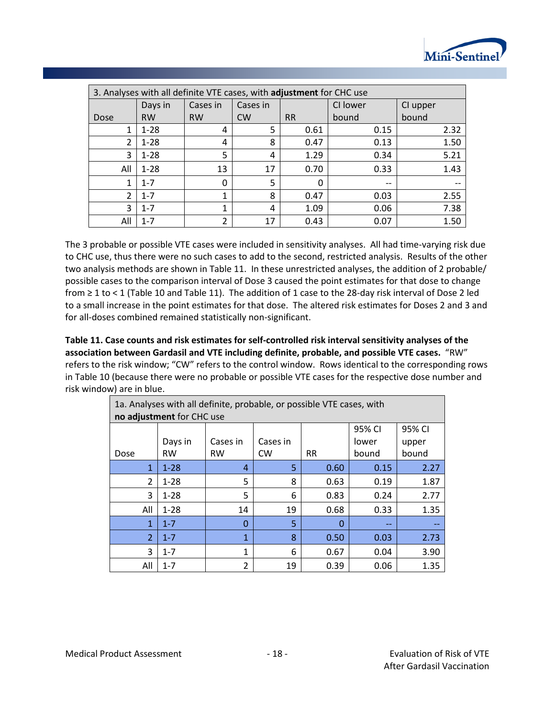

| 3. Analyses with all definite VTE cases, with adjustment for CHC use |           |           |           |           |                        |          |  |  |
|----------------------------------------------------------------------|-----------|-----------|-----------|-----------|------------------------|----------|--|--|
|                                                                      | Days in   | Cases in  | Cases in  |           | CI lower               | CI upper |  |  |
| Dose                                                                 | <b>RW</b> | <b>RW</b> | <b>CW</b> | <b>RR</b> | bound                  | bound    |  |  |
| 1                                                                    | $1 - 28$  | 4         | 5         | 0.61      | 0.15                   | 2.32     |  |  |
| 2                                                                    | $1 - 28$  | 4         | 8         | 0.47      | 0.13                   | 1.50     |  |  |
| 3                                                                    | $1 - 28$  | 5         | 4         | 1.29      | 0.34                   | 5.21     |  |  |
| All                                                                  | $1 - 28$  | 13        | 17        | 0.70      | 0.33                   | 1.43     |  |  |
| 1                                                                    | $1 - 7$   | 0         | 5         | 0         | $\qquad \qquad \cdots$ |          |  |  |
| $\mathfrak{p}$                                                       | $1 - 7$   | 1         | 8         | 0.47      | 0.03                   | 2.55     |  |  |
| 3                                                                    | $1 - 7$   | 1         | 4         | 1.09      | 0.06                   | 7.38     |  |  |
| All                                                                  | $1 - 7$   | ∍         | 17        | 0.43      | 0.07                   | 1.50     |  |  |

The 3 probable or possible VTE cases were included in sensitivity analyses. All had time-varying risk due to CHC use, thus there were no such cases to add to the second, restricted analysis. Results of the other two analysis methods are shown in [Table 11.](#page-19-0) In these unrestricted analyses, the addition of 2 probable/ possible cases to the comparison interval of Dose 3 caused the point estimates for that dose to change from ≥ 1 to < 1 ([Table 10](#page-18-0) an[d Table 11\)](#page-19-0). The addition of 1 case to the 28-day risk interval of Dose 2 led to a small increase in the point estimates for that dose. The altered risk estimates for Doses 2 and 3 and for all-doses combined remained statistically non-significant.

<span id="page-19-0"></span>**Table 11. Case counts and risk estimates for self-controlled risk interval sensitivity analyses of the association between Gardasil and VTE including definite, probable, and possible VTE cases.** "RW" refers to the risk window; "CW" refers to the control window. Rows identical to the corresponding rows in [Table 10](#page-18-0) (because there were no probable or possible VTE cases for the respective dose number and risk window) are in blue.

| 1a. Analyses with all definite, probable, or possible VTE cases, with |                           |              |           |           |        |        |  |  |  |
|-----------------------------------------------------------------------|---------------------------|--------------|-----------|-----------|--------|--------|--|--|--|
|                                                                       | no adjustment for CHC use |              |           |           |        |        |  |  |  |
|                                                                       |                           |              |           |           | 95% CI | 95% CI |  |  |  |
|                                                                       | Days in                   | Cases in     | Cases in  |           | lower  | upper  |  |  |  |
| Dose                                                                  | <b>RW</b>                 | <b>RW</b>    | <b>CW</b> | <b>RR</b> | bound  | bound  |  |  |  |
| 1                                                                     | $1 - 28$                  | 4            | 5         | 0.60      | 0.15   | 2.27   |  |  |  |
| $\overline{2}$                                                        | $1 - 28$                  | 5            | 8         | 0.63      | 0.19   | 1.87   |  |  |  |
| 3                                                                     | $1 - 28$                  | 5            | 6         | 0.83      | 0.24   | 2.77   |  |  |  |
| All                                                                   | $1 - 28$                  | 14           | 19        | 0.68      | 0.33   | 1.35   |  |  |  |
| 1                                                                     | $1 - 7$                   | 0            | 5         | 0         |        |        |  |  |  |
| $\overline{2}$                                                        | $1 - 7$                   | $\mathbf{1}$ | 8         | 0.50      | 0.03   | 2.73   |  |  |  |
| 3                                                                     | $1 - 7$                   | 1            | 6         | 0.67      | 0.04   | 3.90   |  |  |  |
| All                                                                   | $1 - 7$                   | 2            | 19        | 0.39      | 0.06   | 1.35   |  |  |  |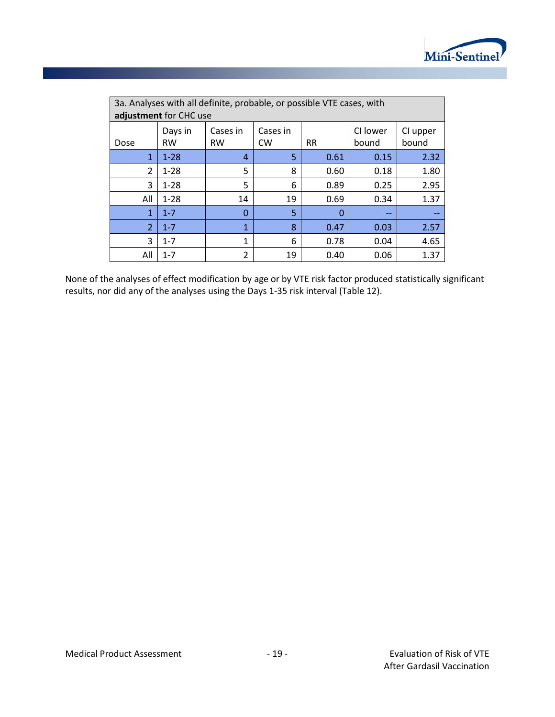

| 3a. Analyses with all definite, probable, or possible VTE cases, with<br>adjustment for CHC use |                                           |                       |                       |           |                   |                   |  |  |
|-------------------------------------------------------------------------------------------------|-------------------------------------------|-----------------------|-----------------------|-----------|-------------------|-------------------|--|--|
| Dose                                                                                            | Days in<br><b>RW</b>                      | Cases in<br><b>RW</b> | Cases in<br><b>CW</b> | <b>RR</b> | CI lower<br>bound | CI upper<br>bound |  |  |
| 1                                                                                               | $1 - 28$                                  | 4                     | 5                     | 0.61      | 0.15              | 2.32              |  |  |
| $\overline{2}$                                                                                  | $1 - 28$                                  | 5                     | 8                     | 0.60      | 0.18              | 1.80              |  |  |
| 3                                                                                               | $1 - 28$                                  | 5                     | 6                     | 0.89      | 0.25              | 2.95              |  |  |
| All                                                                                             | $1 - 28$                                  | 14                    | 19                    | 0.69      | 0.34              | 1.37              |  |  |
| 1                                                                                               | $1 - 7$                                   | 0                     | 5                     | 0         | --                |                   |  |  |
| $\overline{\phantom{a}}$                                                                        | 1<br>8<br>$1 - 7$<br>0.47<br>0.03<br>2.57 |                       |                       |           |                   |                   |  |  |
| 3                                                                                               | $1 - 7$                                   | 1                     | 6                     | 0.78      | 0.04              | 4.65              |  |  |
| All                                                                                             | $1 - 7$                                   | $\overline{2}$        | 19                    | 0.40      | 0.06              | 1.37              |  |  |

None of the analyses of effect modification by age or by VTE risk factor produced statistically significant results, nor did any of the analyses using the Days 1-35 risk interval [\(Table 12\)](#page-21-0).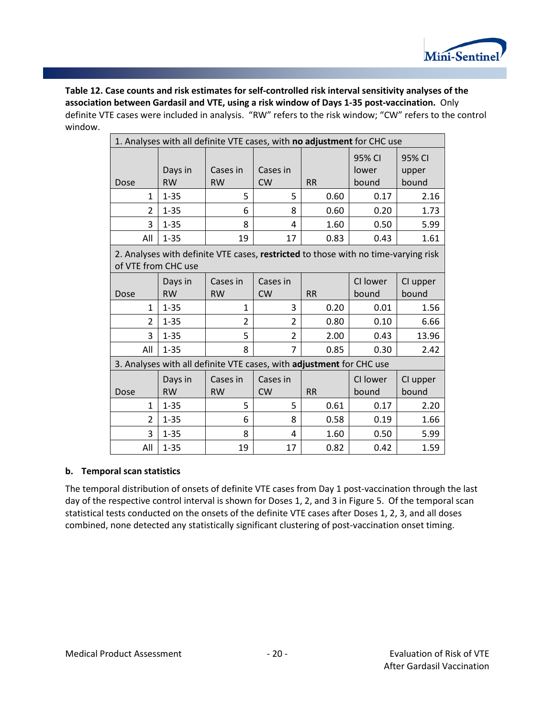

<span id="page-21-0"></span>**Table 12. Case counts and risk estimates for self-controlled risk interval sensitivity analyses of the association between Gardasil and VTE, using a risk window of Days 1-35 post-vaccination.** Only definite VTE cases were included in analysis. "RW" refers to the risk window; "CW" refers to the control window.

|                     |           | 1. Analyses with all definite VTE cases, with no adjustment for CHC use            |           |           |                 |                 |
|---------------------|-----------|------------------------------------------------------------------------------------|-----------|-----------|-----------------|-----------------|
|                     | Days in   | Cases in                                                                           | Cases in  |           | 95% CI<br>lower | 95% CI<br>upper |
| Dose                | <b>RW</b> | <b>RW</b>                                                                          | <b>CW</b> | <b>RR</b> | bound           | bound           |
| 1                   | $1 - 35$  | 5                                                                                  | 5         | 0.60      | 0.17            | 2.16            |
| $\overline{2}$      | $1 - 35$  | 6                                                                                  | 8         | 0.60      | 0.20            | 1.73            |
| 3                   | $1 - 35$  | 8                                                                                  | 4         | 1.60      | 0.50            | 5.99            |
| All                 | $1 - 35$  | 19                                                                                 | 17        | 0.83      | 0.43            | 1.61            |
| of VTE from CHC use |           | 2. Analyses with definite VTE cases, restricted to those with no time-varying risk |           |           |                 |                 |
|                     | Days in   | Cases in                                                                           | Cases in  |           | CI lower        | CI upper        |
| Dose                | <b>RW</b> | <b>RW</b>                                                                          | <b>CW</b> | <b>RR</b> | bound           | bound           |
| 1                   | $1 - 35$  | $\mathbf{1}$                                                                       | 3         | 0.20      | 0.01            | 1.56            |
| $\overline{2}$      | $1 - 35$  | 2                                                                                  | 2         | 0.80      | 0.10            | 6.66            |
| 3                   | $1 - 35$  | 5                                                                                  | 2         | 2.00      | 0.43            | 13.96           |
| All                 | $1 - 35$  | 8                                                                                  | 7         | 0.85      | 0.30            | 2.42            |
|                     |           | 3. Analyses with all definite VTE cases, with adjustment for CHC use               |           |           |                 |                 |
|                     | Days in   | Cases in                                                                           | Cases in  |           | CI lower        | CI upper        |
| Dose                | <b>RW</b> | <b>RW</b>                                                                          | <b>CW</b> | <b>RR</b> | bound           | bound           |
| $\mathbf{1}$        | $1 - 35$  | 5                                                                                  | 5         | 0.61      | 0.17            | 2.20            |
| 2                   | $1 - 35$  | 6                                                                                  | 8         | 0.58      | 0.19            | 1.66            |
| 3                   | $1 - 35$  | 8                                                                                  | 4         | 1.60      | 0.50            | 5.99            |
| All                 | $1 - 35$  | 19                                                                                 | 17        | 0.82      | 0.42            | 1.59            |

#### **b. Temporal scan statistics**

The temporal distribution of onsets of definite VTE cases from Day 1 post-vaccination through the last day of the respective control interval is shown for Doses 1, 2, and 3 in [Figure 5.](#page-22-0) Of the temporal scan statistical tests conducted on the onsets of the definite VTE cases after Doses 1, 2, 3, and all doses combined, none detected any statistically significant clustering of post-vaccination onset timing.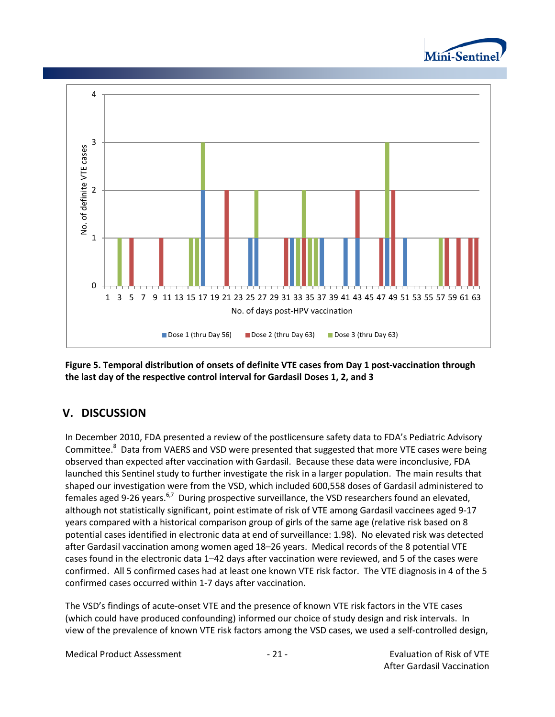



<span id="page-22-0"></span>**Figure 5. Temporal distribution of onsets of definite VTE cases from Day 1 post-vaccination through the last day of the respective control interval for Gardasil Doses 1, 2, and 3**

## **V. DISCUSSION**

In December 2010, FDA presented a review of the postlicensure safety data to FDA's Pediatric Advisory Committee.<sup>8</sup> Data from VAERS and VSD were presented that suggested that more VTE cases were being observed than expected after vaccination with Gardasil. Because these data were inconclusive, FDA launched this Sentinel study to further investigate the risk in a larger population. The main results that shaped our investigation were from the VSD, which included 600,558 doses of Gardasil administered to females aged 9-26 years.<sup>6,7</sup> During prospective surveillance, the VSD researchers found an elevated, although not statistically significant, point estimate of risk of VTE among Gardasil vaccinees aged 9-17 years compared with a historical comparison group of girls of the same age (relative risk based on 8 potential cases identified in electronic data at end of surveillance: 1.98). No elevated risk was detected after Gardasil vaccination among women aged 18–26 years. Medical records of the 8 potential VTE cases found in the electronic data 1–42 days after vaccination were reviewed, and 5 of the cases were confirmed. All 5 confirmed cases had at least one known VTE risk factor. The VTE diagnosis in 4 of the 5 confirmed cases occurred within 1-7 days after vaccination.

The VSD's findings of acute-onset VTE and the presence of known VTE risk factors in the VTE cases (which could have produced confounding) informed our choice of study design and risk intervals. In view of the prevalence of known VTE risk factors among the VSD cases, we used a self-controlled design,

Medical Product Assessment The Call 21 - The Control of Risk of VTE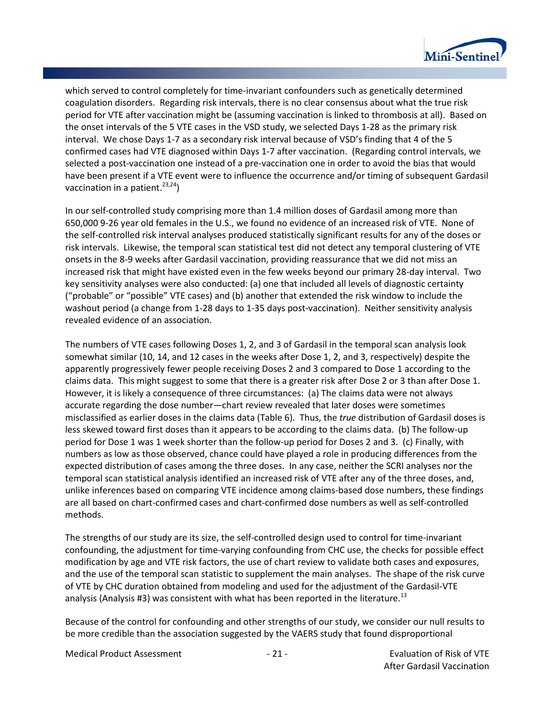

which served to control completely for time-invariant confounders such as genetically determined coagulation disorders. Regarding risk intervals, there is no clear consensus about what the true risk period for VTE after vaccination might be (assuming vaccination is linked to thrombosis at all). Based on the onset intervals of the 5 VTE cases in the VSD study, we selected Days 1-28 as the primary risk interval. We chose Days 1-7 as a secondary risk interval because of VSD's finding that 4 of the 5 confirmed cases had VTE diagnosed within Days 1-7 after vaccination. (Regarding control intervals, we selected a post-vaccination one instead of a pre-vaccination one in order to avoid the bias that would have been present if a VTE event were to influence the occurrence and/or timing of subsequent Gardasil vaccination in a patient.  $23,24$ )

In our self-controlled study comprising more than 1.4 million doses of Gardasil among more than 650,000 9-26 year old females in the U.S., we found no evidence of an increased risk of VTE. None of the self-controlled risk interval analyses produced statistically significant results for any of the doses or risk intervals. Likewise, the temporal scan statistical test did not detect any temporal clustering of VTE onsets in the 8-9 weeks after Gardasil vaccination, providing reassurance that we did not miss an increased risk that might have existed even in the few weeks beyond our primary 28-day interval. Two key sensitivity analyses were also conducted: (a) one that included all levels of diagnostic certainty ("probable" or "possible" VTE cases) and (b) another that extended the risk window to include the washout period (a change from 1-28 days to 1-35 days post-vaccination). Neither sensitivity analysis revealed evidence of an association.

The numbers of VTE cases following Doses 1, 2, and 3 of Gardasil in the temporal scan analysis look somewhat similar (10, 14, and 12 cases in the weeks after Dose 1, 2, and 3, respectively) despite the apparently progressively fewer people receiving Doses 2 and 3 compared to Dose 1 according to the claims data. This might suggest to some that there is a greater risk after Dose 2 or 3 than after Dose 1. However, it is likely a consequence of three circumstances: (a) The claims data were not always accurate regarding the dose number—chart review revealed that later doses were sometimes misclassified as earlier doses in the claims data [\(Table 6\)](#page-14-0). Thus, the *true* distribution of Gardasil doses is less skewed toward first doses than it appears to be according to the claims data. (b) The follow-up period for Dose 1 was 1 week shorter than the follow-up period for Doses 2 and 3. (c) Finally, with numbers as low as those observed, chance could have played a role in producing differences from the expected distribution of cases among the three doses. In any case, neither the SCRI analyses nor the temporal scan statistical analysis identified an increased risk of VTE after any of the three doses, and, unlike inferences based on comparing VTE incidence among claims-based dose numbers, these findings are all based on chart-confirmed cases and chart-confirmed dose numbers as well as self-controlled methods.

The strengths of our study are its size, the self-controlled design used to control for time-invariant confounding, the adjustment for time-varying confounding from CHC use, the checks for possible effect modification by age and VTE risk factors, the use of chart review to validate both cases and exposures, and the use of the temporal scan statistic to supplement the main analyses. The shape of the risk curve of VTE by CHC duration obtained from modeling and used for the adjustment of the Gardasil-VTE analysis (Analysis #3) was consistent with what has been reported in the literature.<sup>13</sup>

Because of the control for confounding and other strengths of our study, we consider our null results to be more credible than the association suggested by the VAERS study that found disproportional

Medical Product Assessment The Call 21 - The Control of Risk of VTE

After Gardasil Vaccination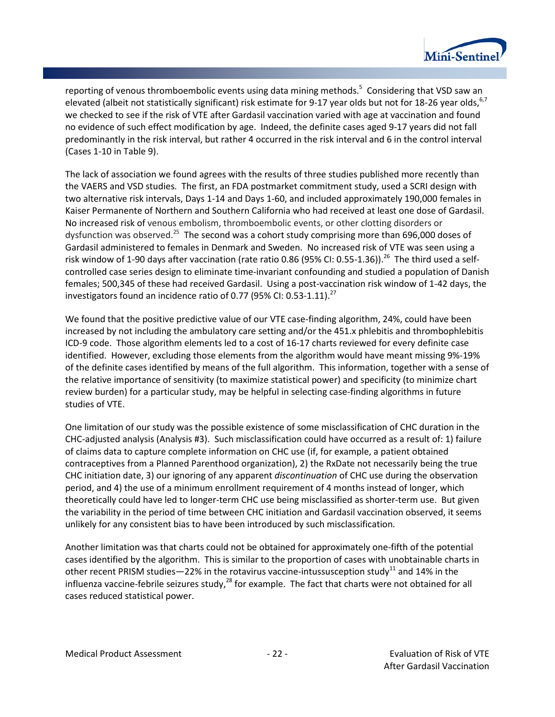

reporting of venous thromboembolic events using data mining methods.<sup>5</sup> Considering that VSD saw an elevated (albeit not statistically significant) risk estimate for 9-17 year olds but not for 18-26 year olds, 6,7 we checked to see if the risk of VTE after Gardasil vaccination varied with age at vaccination and found no evidence of such effect modification by age. Indeed, the definite cases aged 9-17 years did not fall predominantly in the risk interval, but rather 4 occurred in the risk interval and 6 in the control interval (Cases 1-10 i[n Table 9\)](#page-15-1).

The lack of association we found agrees with the results of three studies published more recently than the VAERS and VSD studies. The first, an FDA postmarket commitment study, used a SCRI design with two alternative risk intervals, Days 1-14 and Days 1-60, and included approximately 190,000 females in Kaiser Permanente of Northern and Southern California who had received at least one dose of Gardasil. No increased risk of venous embolism, thromboembolic events, or other clotting disorders or dysfunction was observed.<sup>25</sup> The second was a cohort study comprising more than 696,000 doses of Gardasil administered to females in Denmark and Sweden. No increased risk of VTE was seen using a risk window of 1-90 days after vaccination (rate ratio 0.86 (95% CI: 0.55-1.36)).<sup>26</sup> The third used a selfcontrolled case series design to eliminate time-invariant confounding and studied a population of Danish females; 500,345 of these had received Gardasil. Using a post-vaccination risk window of 1-42 days, the investigators found an incidence ratio of 0.77 (95% CI: 0.53-1.11).<sup>27</sup>

We found that the positive predictive value of our VTE case-finding algorithm, 24%, could have been increased by not including the ambulatory care setting and/or the 451.x phlebitis and thrombophlebitis ICD-9 code. Those algorithm elements led to a cost of 16-17 charts reviewed for every definite case identified. However, excluding those elements from the algorithm would have meant missing 9%-19% of the definite cases identified by means of the full algorithm. This information, together with a sense of the relative importance of sensitivity (to maximize statistical power) and specificity (to minimize chart review burden) for a particular study, may be helpful in selecting case-finding algorithms in future studies of VTE.

One limitation of our study was the possible existence of some misclassification of CHC duration in the CHC-adjusted analysis (Analysis #3). Such misclassification could have occurred as a result of: 1) failure of claims data to capture complete information on CHC use (if, for example, a patient obtained contraceptives from a Planned Parenthood organization), 2) the RxDate not necessarily being the true CHC initiation date, 3) our ignoring of any apparent *discontinuation* of CHC use during the observation period, and 4) the use of a minimum enrollment requirement of 4 months instead of longer, which theoretically could have led to longer-term CHC use being misclassified as shorter-term use. But given the variability in the period of time between CHC initiation and Gardasil vaccination observed, it seems unlikely for any consistent bias to have been introduced by such misclassification.

Another limitation was that charts could not be obtained for approximately one-fifth of the potential cases identified by the algorithm. This is similar to the proportion of cases with unobtainable charts in other recent PRISM studies—22% in the rotavirus vaccine-intussusception study<sup>11</sup> and 14% in the influenza vaccine-febrile seizures study, $^{28}$  for example. The fact that charts were not obtained for all cases reduced statistical power.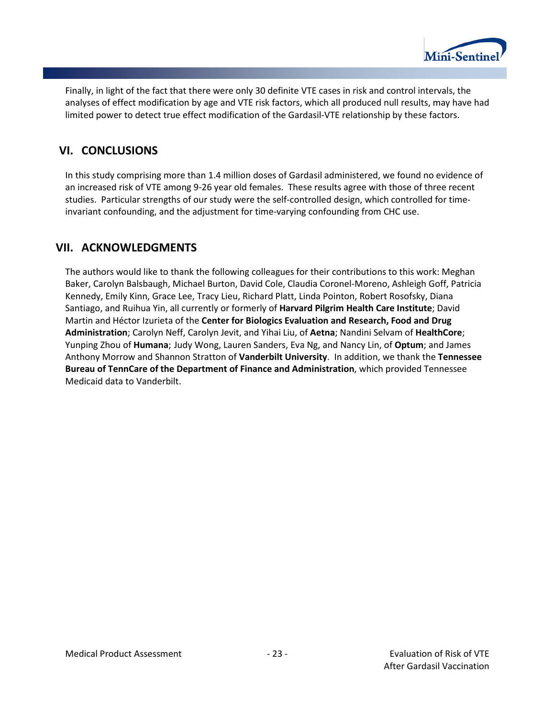

Finally, in light of the fact that there were only 30 definite VTE cases in risk and control intervals, the analyses of effect modification by age and VTE risk factors, which all produced null results, may have had limited power to detect true effect modification of the Gardasil-VTE relationship by these factors.

## **VI. CONCLUSIONS**

In this study comprising more than 1.4 million doses of Gardasil administered, we found no evidence of an increased risk of VTE among 9-26 year old females. These results agree with those of three recent studies. Particular strengths of our study were the self-controlled design, which controlled for timeinvariant confounding, and the adjustment for time-varying confounding from CHC use.

## **VII. ACKNOWLEDGMENTS**

The authors would like to thank the following colleagues for their contributions to this work: Meghan Baker, Carolyn Balsbaugh, Michael Burton, David Cole, Claudia Coronel-Moreno, Ashleigh Goff, Patricia Kennedy, Emily Kinn, Grace Lee, Tracy Lieu, Richard Platt, Linda Pointon, Robert Rosofsky, Diana Santiago, and Ruihua Yin, all currently or formerly of **Harvard Pilgrim Health Care Institute**; David Martin and Héctor Izurieta of the **Center for Biologics Evaluation and Research, Food and Drug Administration**; Carolyn Neff, Carolyn Jevit, and Yihai Liu, of **Aetna**; Nandini Selvam of **HealthCore**; Yunping Zhou of **Humana**; Judy Wong, Lauren Sanders, Eva Ng, and Nancy Lin, of **Optum**; and James Anthony Morrow and Shannon Stratton of **Vanderbilt University**. In addition, we thank the **Tennessee Bureau of TennCare of the Department of Finance and Administration**, which provided Tennessee Medicaid data to Vanderbilt.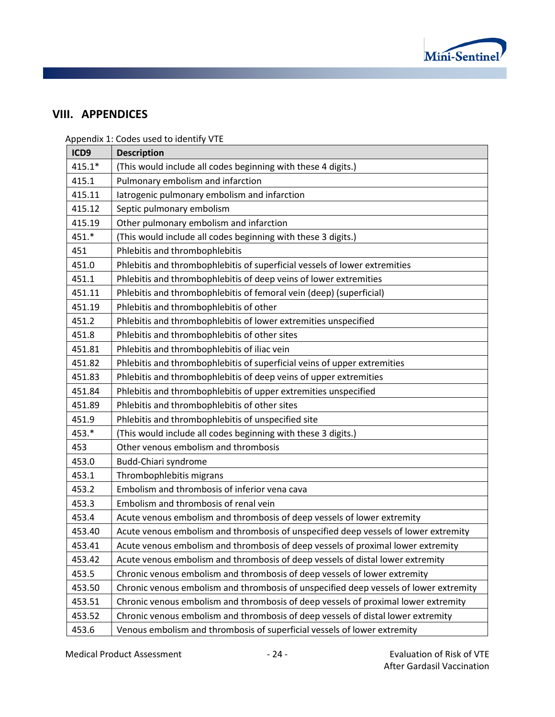

## **VIII. APPENDICES**

<span id="page-26-0"></span>Appendix 1: Codes used to identify VTE

| ICD9     | <b>Description</b>                                                                    |
|----------|---------------------------------------------------------------------------------------|
| $415.1*$ | (This would include all codes beginning with these 4 digits.)                         |
| 415.1    | Pulmonary embolism and infarction                                                     |
| 415.11   | latrogenic pulmonary embolism and infarction                                          |
| 415.12   | Septic pulmonary embolism                                                             |
| 415.19   | Other pulmonary embolism and infarction                                               |
| 451.*    | (This would include all codes beginning with these 3 digits.)                         |
| 451      | Phlebitis and thrombophlebitis                                                        |
| 451.0    | Phlebitis and thrombophlebitis of superficial vessels of lower extremities            |
| 451.1    | Phlebitis and thrombophlebitis of deep veins of lower extremities                     |
| 451.11   | Phlebitis and thrombophlebitis of femoral vein (deep) (superficial)                   |
| 451.19   | Phlebitis and thrombophlebitis of other                                               |
| 451.2    | Phlebitis and thrombophlebitis of lower extremities unspecified                       |
| 451.8    | Phlebitis and thrombophlebitis of other sites                                         |
| 451.81   | Phlebitis and thrombophlebitis of iliac vein                                          |
| 451.82   | Phlebitis and thrombophlebitis of superficial veins of upper extremities              |
| 451.83   | Phlebitis and thrombophlebitis of deep veins of upper extremities                     |
| 451.84   | Phlebitis and thrombophlebitis of upper extremities unspecified                       |
| 451.89   | Phlebitis and thrombophlebitis of other sites                                         |
| 451.9    | Phlebitis and thrombophlebitis of unspecified site                                    |
| 453.*    | (This would include all codes beginning with these 3 digits.)                         |
| 453      | Other venous embolism and thrombosis                                                  |
| 453.0    | Budd-Chiari syndrome                                                                  |
| 453.1    | Thrombophlebitis migrans                                                              |
| 453.2    | Embolism and thrombosis of inferior vena cava                                         |
| 453.3    | Embolism and thrombosis of renal vein                                                 |
| 453.4    | Acute venous embolism and thrombosis of deep vessels of lower extremity               |
| 453.40   | Acute venous embolism and thrombosis of unspecified deep vessels of lower extremity   |
| 453.41   | Acute venous embolism and thrombosis of deep vessels of proximal lower extremity      |
| 453.42   | Acute venous embolism and thrombosis of deep vessels of distal lower extremity        |
| 453.5    | Chronic venous embolism and thrombosis of deep vessels of lower extremity             |
| 453.50   | Chronic venous embolism and thrombosis of unspecified deep vessels of lower extremity |
| 453.51   | Chronic venous embolism and thrombosis of deep vessels of proximal lower extremity    |
| 453.52   | Chronic venous embolism and thrombosis of deep vessels of distal lower extremity      |
| 453.6    | Venous embolism and thrombosis of superficial vessels of lower extremity              |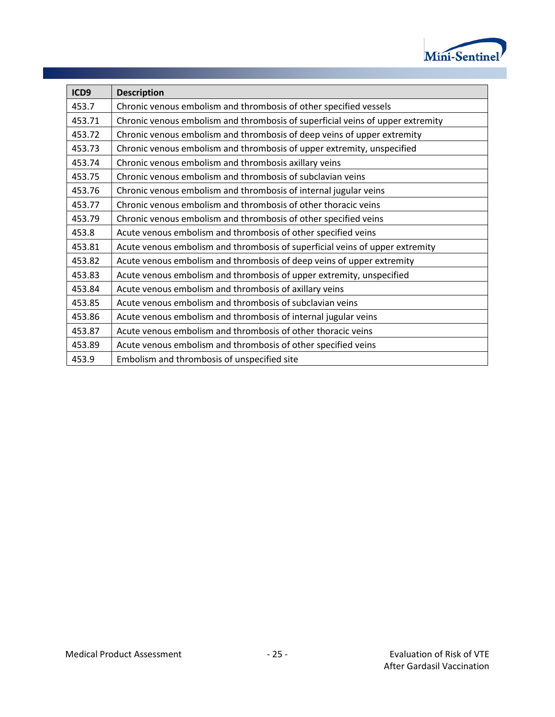

| ICD <sub>9</sub> | <b>Description</b>                                                             |
|------------------|--------------------------------------------------------------------------------|
| 453.7            | Chronic venous embolism and thrombosis of other specified vessels              |
| 453.71           | Chronic venous embolism and thrombosis of superficial veins of upper extremity |
| 453.72           | Chronic venous embolism and thrombosis of deep veins of upper extremity        |
| 453.73           | Chronic venous embolism and thrombosis of upper extremity, unspecified         |
| 453.74           | Chronic venous embolism and thrombosis axillary veins                          |
| 453.75           | Chronic venous embolism and thrombosis of subclavian veins                     |
| 453.76           | Chronic venous embolism and thrombosis of internal jugular veins               |
| 453.77           | Chronic venous embolism and thrombosis of other thoracic veins                 |
| 453.79           | Chronic venous embolism and thrombosis of other specified veins                |
| 453.8            | Acute venous embolism and thrombosis of other specified veins                  |
| 453.81           | Acute venous embolism and thrombosis of superficial veins of upper extremity   |
| 453.82           | Acute venous embolism and thrombosis of deep veins of upper extremity          |
| 453.83           | Acute venous embolism and thrombosis of upper extremity, unspecified           |
| 453.84           | Acute venous embolism and thrombosis of axillary veins                         |
| 453.85           | Acute venous embolism and thrombosis of subclavian veins                       |
| 453.86           | Acute venous embolism and thrombosis of internal jugular veins                 |
| 453.87           | Acute venous embolism and thrombosis of other thoracic veins                   |
| 453.89           | Acute venous embolism and thrombosis of other specified veins                  |
| 453.9            | Embolism and thrombosis of unspecified site                                    |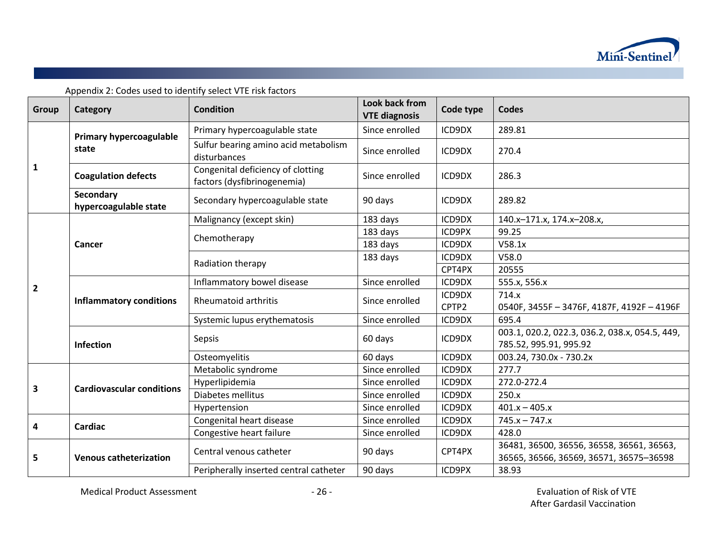

Appendix 2: Codes used to identify select VTE risk factors

<span id="page-28-0"></span>

| Group                   | Category                                  | <b>Condition</b>                                                 | Look back from<br><b>VTE diagnosis</b> | Code type       | <b>Codes</b>                                                                         |
|-------------------------|-------------------------------------------|------------------------------------------------------------------|----------------------------------------|-----------------|--------------------------------------------------------------------------------------|
|                         | <b>Primary hypercoagulable</b>            | Primary hypercoagulable state                                    | Since enrolled                         | ICD9DX          | 289.81                                                                               |
|                         | state                                     | Sulfur bearing amino acid metabolism<br>disturbances             | Since enrolled                         | ICD9DX          | 270.4                                                                                |
| $\mathbf{1}$            | <b>Coagulation defects</b>                | Congenital deficiency of clotting<br>factors (dysfibrinogenemia) | Since enrolled                         | ICD9DX          | 286.3                                                                                |
|                         | <b>Secondary</b><br>hypercoagulable state | Secondary hypercoagulable state                                  | 90 days                                | ICD9DX          | 289.82                                                                               |
|                         |                                           | Malignancy (except skin)                                         | 183 days                               | ICD9DX          | 140.x-171.x, 174.x-208.x,                                                            |
|                         |                                           | Chemotherapy                                                     | 183 days                               | <b>ICD9PX</b>   | 99.25                                                                                |
|                         | <b>Cancer</b>                             |                                                                  | 183 days                               | ICD9DX          | V58.1x                                                                               |
|                         |                                           | Radiation therapy                                                | 183 days                               | ICD9DX          | V58.0                                                                                |
|                         |                                           |                                                                  |                                        | CPT4PX          | 20555                                                                                |
| $\overline{2}$          | <b>Inflammatory conditions</b>            | Inflammatory bowel disease                                       | Since enrolled                         | ICD9DX          | 555.x, 556.x                                                                         |
|                         |                                           | <b>Rheumatoid arthritis</b>                                      | Since enrolled                         | ICD9DX<br>CPTP2 | 714.x<br>0540F, 3455F - 3476F, 4187F, 4192F - 4196F                                  |
|                         |                                           | Systemic lupus erythematosis                                     | Since enrolled                         | ICD9DX          | 695.4                                                                                |
|                         | <b>Infection</b>                          | Sepsis                                                           | 60 days                                | ICD9DX          | 003.1, 020.2, 022.3, 036.2, 038.x, 054.5, 449,<br>785.52, 995.91, 995.92             |
|                         |                                           | Osteomyelitis                                                    | 60 days                                | ICD9DX          | 003.24, 730.0x - 730.2x                                                              |
|                         |                                           | Metabolic syndrome                                               | Since enrolled                         | ICD9DX          | 277.7                                                                                |
| $\overline{\mathbf{3}}$ | <b>Cardiovascular conditions</b>          | Hyperlipidemia                                                   | Since enrolled                         | ICD9DX          | 272.0-272.4                                                                          |
|                         |                                           | Diabetes mellitus                                                | Since enrolled                         | ICD9DX          | 250.x                                                                                |
|                         |                                           | Hypertension                                                     | Since enrolled                         | ICD9DX          | $401.x - 405.x$                                                                      |
| 4                       | <b>Cardiac</b>                            | Congenital heart disease                                         | Since enrolled                         | ICD9DX          | $745.x - 747.x$                                                                      |
|                         |                                           | Congestive heart failure                                         | Since enrolled                         | ICD9DX          | 428.0                                                                                |
| 5                       | <b>Venous catheterization</b>             | Central venous catheter                                          | 90 days                                | CPT4PX          | 36481, 36500, 36556, 36558, 36561, 36563,<br>36565, 36566, 36569, 36571, 36575-36598 |
|                         |                                           | Peripherally inserted central catheter                           | 90 days                                | ICD9PX          | 38.93                                                                                |

Medical Product Assessment The Contract of Assessment Fund to the 26 - Contract of Risk of VTE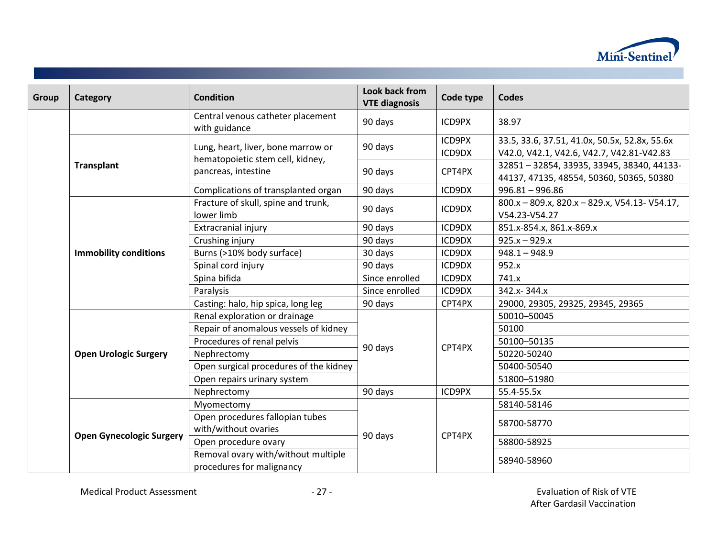

| <b>Group</b> | Category                        | <b>Condition</b>                                                       | Look back from<br><b>VTE diagnosis</b> | Code type        | <b>Codes</b>                                                                               |
|--------------|---------------------------------|------------------------------------------------------------------------|----------------------------------------|------------------|--------------------------------------------------------------------------------------------|
|              |                                 | Central venous catheter placement<br>with guidance                     | 90 days                                | ICD9PX           | 38.97                                                                                      |
|              |                                 | Lung, heart, liver, bone marrow or<br>hematopoietic stem cell, kidney, | 90 days                                | ICD9PX<br>ICD9DX | 33.5, 33.6, 37.51, 41.0x, 50.5x, 52.8x, 55.6x<br>V42.0, V42.1, V42.6, V42.7, V42.81-V42.83 |
|              | <b>Transplant</b>               | pancreas, intestine                                                    | 90 days                                | CPT4PX           | 32851-32854, 33935, 33945, 38340, 44133-<br>44137, 47135, 48554, 50360, 50365, 50380       |
|              |                                 | Complications of transplanted organ                                    | 90 days                                | ICD9DX           | $996.81 - 996.86$                                                                          |
|              |                                 | Fracture of skull, spine and trunk,<br>lower limb                      | 90 days                                | ICD9DX           | $800.x - 809.x$ , $820.x - 829.x$ , $V54.13 - V54.17$ ,<br>V54.23-V54.27                   |
|              |                                 | Extracranial injury                                                    | 90 days                                | ICD9DX           | 851.x-854.x, 861.x-869.x                                                                   |
|              |                                 | Crushing injury                                                        | 90 days                                | ICD9DX           | $925.x - 929.x$                                                                            |
|              | <b>Immobility conditions</b>    | Burns (>10% body surface)                                              | 30 days                                | ICD9DX           | $948.1 - 948.9$                                                                            |
|              |                                 | Spinal cord injury                                                     | 90 days                                | ICD9DX           | 952.x                                                                                      |
|              |                                 | Spina bifida                                                           | Since enrolled                         | ICD9DX           | 741.x                                                                                      |
|              |                                 | Paralysis                                                              | Since enrolled                         | ICD9DX           | 342.x-344.x                                                                                |
|              |                                 | Casting: halo, hip spica, long leg                                     | 90 days                                | CPT4PX           | 29000, 29305, 29325, 29345, 29365                                                          |
|              |                                 | Renal exploration or drainage                                          |                                        |                  | 50010-50045                                                                                |
|              |                                 | Repair of anomalous vessels of kidney                                  |                                        |                  | 50100                                                                                      |
|              |                                 | Procedures of renal pelvis                                             | 90 days                                | CPT4PX           | 50100-50135                                                                                |
|              | <b>Open Urologic Surgery</b>    | Nephrectomy                                                            |                                        |                  | 50220-50240                                                                                |
|              |                                 | Open surgical procedures of the kidney                                 |                                        |                  | 50400-50540                                                                                |
|              |                                 | Open repairs urinary system                                            |                                        |                  | 51800-51980                                                                                |
|              |                                 | Nephrectomy                                                            | 90 days                                | ICD9PX           | 55.4-55.5x                                                                                 |
|              |                                 | Myomectomy                                                             |                                        |                  | 58140-58146                                                                                |
|              |                                 | Open procedures fallopian tubes<br>with/without ovaries                |                                        |                  | 58700-58770                                                                                |
|              | <b>Open Gynecologic Surgery</b> | Open procedure ovary                                                   | 90 days                                | CPT4PX           | 58800-58925                                                                                |
|              |                                 | Removal ovary with/without multiple<br>procedures for malignancy       |                                        |                  | 58940-58960                                                                                |

Medical Product Assessment The Contract of Assessment Fund to the 27 - Contract of Risk of VTE

After Gardasil Vaccination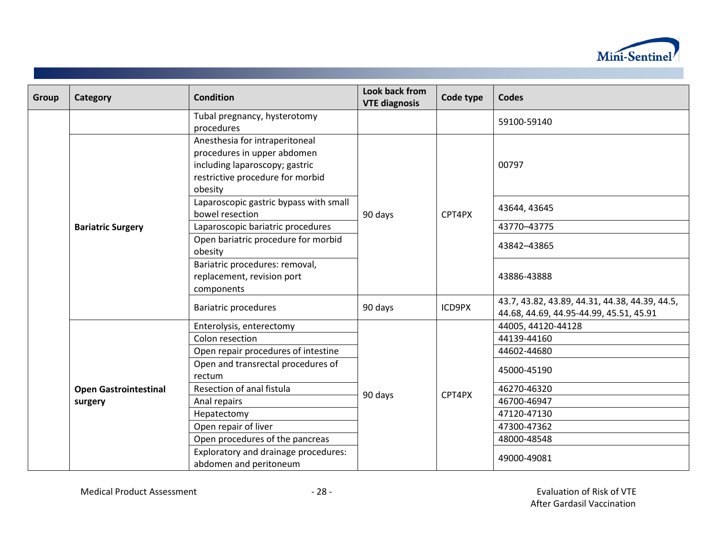

| <b>Group</b> | Category                     | <b>Condition</b>                                               | Look back from       | Code type | <b>Codes</b>                                   |
|--------------|------------------------------|----------------------------------------------------------------|----------------------|-----------|------------------------------------------------|
|              |                              | Tubal pregnancy, hysterotomy                                   | <b>VTE diagnosis</b> |           |                                                |
|              |                              | procedures                                                     |                      |           | 59100-59140                                    |
|              |                              | Anesthesia for intraperitoneal                                 |                      |           |                                                |
|              |                              | procedures in upper abdomen                                    |                      |           |                                                |
|              |                              | including laparoscopy; gastric                                 |                      |           | 00797                                          |
|              |                              | restrictive procedure for morbid                               |                      | CPT4PX    |                                                |
|              |                              | obesity                                                        |                      |           |                                                |
|              |                              | Laparoscopic gastric bypass with small                         |                      |           |                                                |
|              |                              | bowel resection                                                | 90 days              |           | 43644, 43645                                   |
|              | <b>Bariatric Surgery</b>     | Laparoscopic bariatric procedures                              |                      |           | 43770-43775                                    |
|              |                              | Open bariatric procedure for morbid                            |                      |           | 43842-43865                                    |
|              |                              | obesity                                                        |                      |           |                                                |
|              |                              | Bariatric procedures: removal,                                 |                      |           |                                                |
|              |                              | replacement, revision port                                     |                      |           | 43886-43888                                    |
|              |                              | components                                                     |                      |           |                                                |
|              |                              | <b>Bariatric procedures</b>                                    | 90 days              | ICD9PX    | 43.7, 43.82, 43.89, 44.31, 44.38, 44.39, 44.5, |
|              |                              |                                                                |                      |           | 44.68, 44.69, 44.95-44.99, 45.51, 45.91        |
|              |                              | Enterolysis, enterectomy                                       |                      |           | 44005, 44120-44128                             |
|              |                              | Colon resection                                                |                      |           | 44139-44160                                    |
|              |                              | Open repair procedures of intestine                            |                      |           | 44602-44680                                    |
|              |                              | Open and transrectal procedures of                             |                      |           | 45000-45190                                    |
|              |                              | rectum                                                         |                      |           |                                                |
|              | <b>Open Gastrointestinal</b> | Resection of anal fistula                                      | 90 days              | CPT4PX    | 46270-46320                                    |
|              | surgery                      | Anal repairs                                                   |                      |           | 46700-46947                                    |
|              |                              | Hepatectomy                                                    |                      |           | 47120-47130                                    |
|              |                              | Open repair of liver                                           |                      |           | 47300-47362                                    |
|              |                              | Open procedures of the pancreas                                |                      |           | 48000-48548                                    |
|              |                              | Exploratory and drainage procedures:<br>abdomen and peritoneum |                      |           | 49000-49081                                    |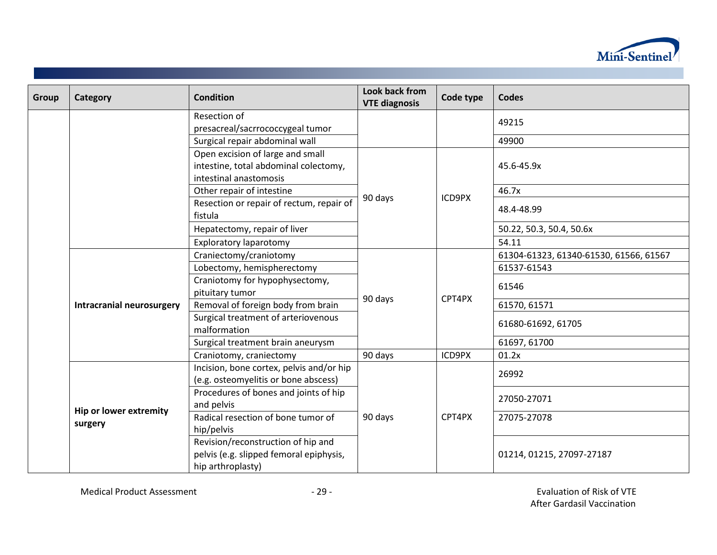

| Group | Category                                 | <b>Condition</b>                                                                                   | Look back from<br><b>VTE diagnosis</b> | Code type | <b>Codes</b>                           |  |
|-------|------------------------------------------|----------------------------------------------------------------------------------------------------|----------------------------------------|-----------|----------------------------------------|--|
|       |                                          | Resection of                                                                                       |                                        |           | 49215                                  |  |
|       |                                          | presacreal/sacrrococcygeal tumor                                                                   |                                        |           |                                        |  |
|       |                                          | Surgical repair abdominal wall                                                                     |                                        |           | 49900                                  |  |
|       |                                          | Open excision of large and small                                                                   |                                        |           |                                        |  |
|       |                                          | intestine, total abdominal colectomy,                                                              |                                        |           | 45.6-45.9x                             |  |
|       |                                          | intestinal anastomosis                                                                             |                                        |           |                                        |  |
|       |                                          | Other repair of intestine                                                                          |                                        |           | 46.7x                                  |  |
|       |                                          | Resection or repair of rectum, repair of<br>fistula                                                | 90 days                                | ICD9PX    | 48.4-48.99                             |  |
|       |                                          | Hepatectomy, repair of liver                                                                       |                                        |           | 50.22, 50.3, 50.4, 50.6x               |  |
|       |                                          | Exploratory laparotomy                                                                             |                                        |           | 54.11                                  |  |
|       | <b>Intracranial neurosurgery</b>         | Craniectomy/craniotomy                                                                             |                                        |           | 61304-61323, 61340-61530, 61566, 61567 |  |
|       |                                          | Lobectomy, hemispherectomy                                                                         |                                        |           | 61537-61543                            |  |
|       |                                          | Craniotomy for hypophysectomy,                                                                     |                                        | CPT4PX    |                                        |  |
|       |                                          | pituitary tumor                                                                                    |                                        |           | 61546                                  |  |
|       |                                          | Removal of foreign body from brain                                                                 | 90 days                                |           | 61570, 61571                           |  |
|       |                                          | Surgical treatment of arteriovenous<br>malformation                                                |                                        |           | 61680-61692, 61705                     |  |
|       |                                          | Surgical treatment brain aneurysm                                                                  |                                        |           | 61697, 61700                           |  |
|       |                                          | Craniotomy, craniectomy                                                                            | 90 days                                | ICD9PX    | 01.2x                                  |  |
|       | <b>Hip or lower extremity</b><br>surgery | Incision, bone cortex, pelvis and/or hip<br>(e.g. osteomyelitis or bone abscess)                   |                                        |           | 26992                                  |  |
|       |                                          | Procedures of bones and joints of hip<br>and pelvis                                                |                                        |           | 27050-27071                            |  |
|       |                                          | Radical resection of bone tumor of<br>hip/pelvis                                                   | 90 days                                | CPT4PX    | 27075-27078                            |  |
|       |                                          | Revision/reconstruction of hip and<br>pelvis (e.g. slipped femoral epiphysis,<br>hip arthroplasty) |                                        |           | 01214, 01215, 27097-27187              |  |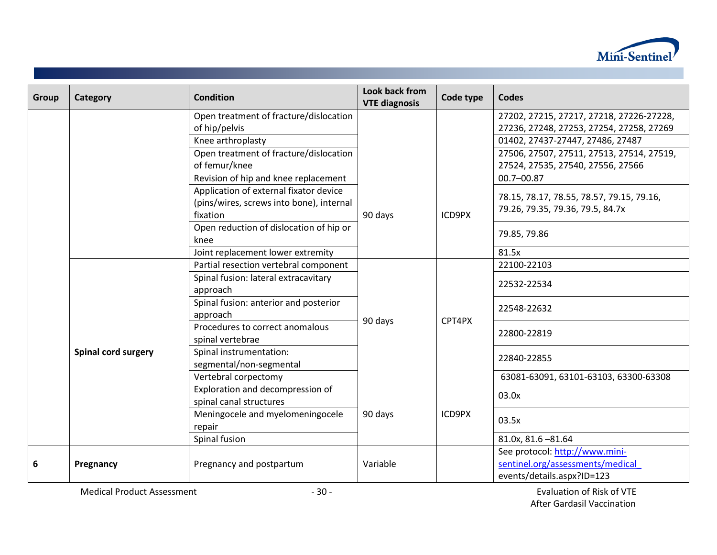

| Group | Category            | <b>Condition</b>                         | Look back from       | Code type | <b>Codes</b>                              |  |  |
|-------|---------------------|------------------------------------------|----------------------|-----------|-------------------------------------------|--|--|
|       |                     |                                          | <b>VTE diagnosis</b> |           |                                           |  |  |
|       |                     | Open treatment of fracture/dislocation   |                      |           | 27202, 27215, 27217, 27218, 27226-27228,  |  |  |
|       |                     | of hip/pelvis                            |                      |           | 27236, 27248, 27253, 27254, 27258, 27269  |  |  |
|       |                     | Knee arthroplasty                        |                      |           | 01402, 27437-27447, 27486, 27487          |  |  |
|       |                     | Open treatment of fracture/dislocation   |                      |           | 27506, 27507, 27511, 27513, 27514, 27519, |  |  |
|       |                     | of femur/knee                            |                      |           | 27524, 27535, 27540, 27556, 27566         |  |  |
|       |                     | Revision of hip and knee replacement     |                      |           | $00.7 - 00.87$                            |  |  |
|       |                     | Application of external fixator device   |                      |           |                                           |  |  |
|       |                     | (pins/wires, screws into bone), internal |                      | ICD9PX    | 78.15, 78.17, 78.55, 78.57, 79.15, 79.16, |  |  |
|       |                     | fixation                                 | 90 days              |           | 79.26, 79.35, 79.36, 79.5, 84.7x          |  |  |
|       |                     | Open reduction of dislocation of hip or  |                      |           |                                           |  |  |
|       |                     | knee                                     |                      |           | 79.85, 79.86                              |  |  |
|       |                     | Joint replacement lower extremity        |                      |           | 81.5x                                     |  |  |
|       | Spinal cord surgery | Partial resection vertebral component    |                      |           | 22100-22103                               |  |  |
|       |                     | Spinal fusion: lateral extracavitary     |                      | CPT4PX    |                                           |  |  |
|       |                     | approach                                 |                      |           | 22532-22534                               |  |  |
|       |                     | Spinal fusion: anterior and posterior    |                      |           | 22548-22632                               |  |  |
|       |                     | approach                                 |                      |           |                                           |  |  |
|       |                     | Procedures to correct anomalous          | 90 days              |           | 22800-22819                               |  |  |
|       |                     | spinal vertebrae                         |                      |           |                                           |  |  |
|       |                     | Spinal instrumentation:                  |                      |           | 22840-22855                               |  |  |
|       |                     | segmental/non-segmental                  |                      |           |                                           |  |  |
|       |                     | Vertebral corpectomy                     |                      |           | 63081-63091, 63101-63103, 63300-63308     |  |  |
|       |                     | Exploration and decompression of         |                      | ICD9PX    | 03.0x                                     |  |  |
|       |                     | spinal canal structures                  |                      |           |                                           |  |  |
|       |                     | Meningocele and myelomeningocele         | 90 days              |           | 03.5x                                     |  |  |
|       |                     | repair                                   |                      |           |                                           |  |  |
|       |                     | Spinal fusion                            |                      |           | 81.0x, 81.6 - 81.64                       |  |  |
|       | Pregnancy           |                                          | Variable             |           | See protocol: http://www.mini-            |  |  |
| 6     |                     | Pregnancy and postpartum                 |                      |           | sentinel.org/assessments/medical          |  |  |
|       |                     |                                          |                      |           | events/details.aspx?ID=123                |  |  |

After Gardasil Vaccination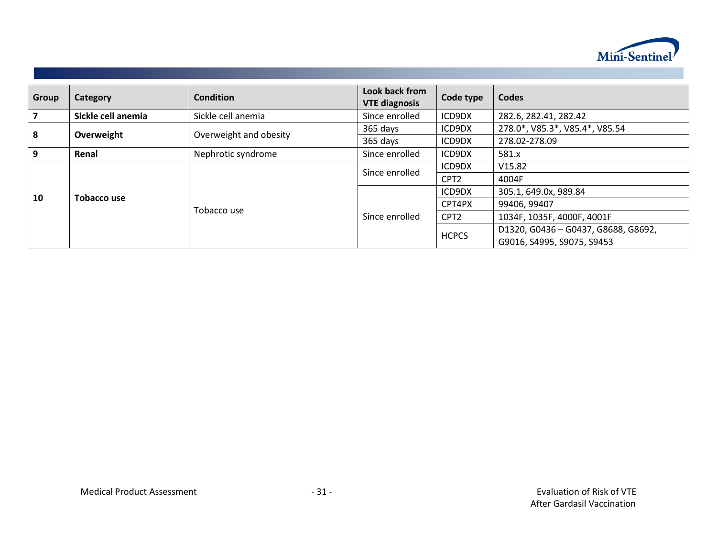

| Group                   | Category           | <b>Condition</b>       | Look back from<br><b>VTE diagnosis</b> | Code type        | Codes                               |  |  |
|-------------------------|--------------------|------------------------|----------------------------------------|------------------|-------------------------------------|--|--|
| $\overline{\mathbf{z}}$ | Sickle cell anemia | Sickle cell anemia     | Since enrolled                         | ICD9DX           | 282.6, 282.41, 282.42               |  |  |
| 8                       | Overweight         | Overweight and obesity | 365 days                               | ICD9DX           | 278.0*, V85.3*, V85.4*, V85.54      |  |  |
|                         |                    |                        | 365 days                               | ICD9DX           | 278.02-278.09                       |  |  |
| 9                       | Renal              | Nephrotic syndrome     | Since enrolled                         | ICD9DX           | 581.x                               |  |  |
| 10                      | Tobacco use        |                        | Since enrolled                         | ICD9DX           | V15.82                              |  |  |
|                         |                    |                        |                                        | CPT <sub>2</sub> | 4004F                               |  |  |
|                         |                    |                        | Since enrolled                         | ICD9DX           | 305.1, 649.0x, 989.84               |  |  |
|                         |                    | Tobacco use            |                                        | CPT4PX           | 99406, 99407                        |  |  |
|                         |                    |                        |                                        | CPT <sub>2</sub> | 1034F, 1035F, 4000F, 4001F          |  |  |
|                         |                    |                        |                                        | <b>HCPCS</b>     | D1320, G0436 - G0437, G8688, G8692, |  |  |
|                         |                    |                        |                                        |                  | G9016, S4995, S9075, S9453          |  |  |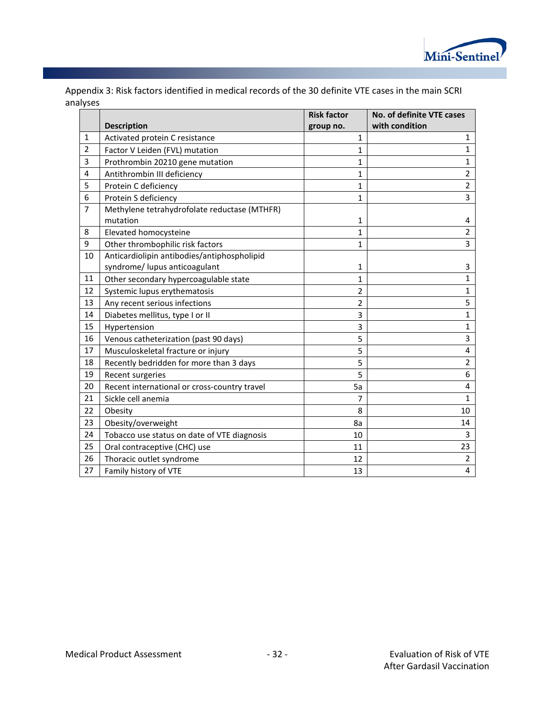

<span id="page-34-0"></span>

| Appendix 3: Risk factors identified in medical records of the 30 definite VTE cases in the main SCRI |  |
|------------------------------------------------------------------------------------------------------|--|
| analyses                                                                                             |  |

|                |                                                                              | <b>Risk factor</b> | No. of definite VTE cases |
|----------------|------------------------------------------------------------------------------|--------------------|---------------------------|
|                | <b>Description</b>                                                           | group no.          | with condition            |
| $\mathbf{1}$   | Activated protein C resistance                                               | 1                  | 1                         |
| $\overline{2}$ | Factor V Leiden (FVL) mutation                                               | $\mathbf{1}$       | $\mathbf{1}$              |
| 3              | Prothrombin 20210 gene mutation                                              | 1                  | $\mathbf{1}$              |
| $\overline{4}$ | Antithrombin III deficiency                                                  | 1                  | $\overline{2}$            |
| 5              | Protein C deficiency                                                         | $\mathbf{1}$       | $\overline{2}$            |
| 6              | Protein S deficiency                                                         | 1                  | 3                         |
| $\overline{7}$ | Methylene tetrahydrofolate reductase (MTHFR)<br>mutation                     | 1                  | 4                         |
| 8              | Elevated homocysteine                                                        | $\mathbf{1}$       | $\overline{2}$            |
| 9              | Other thrombophilic risk factors                                             | $\mathbf{1}$       | 3                         |
| 10             | Anticardiolipin antibodies/antiphospholipid<br>syndrome/ lupus anticoagulant | 1                  | 3                         |
| 11             | Other secondary hypercoagulable state                                        | $\mathbf{1}$       | 1                         |
| 12             | Systemic lupus erythematosis                                                 | $\overline{2}$     | $\mathbf{1}$              |
| 13             | Any recent serious infections                                                | 2                  | 5                         |
| 14             | Diabetes mellitus, type I or II                                              | 3                  | $\mathbf{1}$              |
| 15             | Hypertension                                                                 | 3                  | $\mathbf{1}$              |
| 16             | Venous catheterization (past 90 days)                                        | 5                  | 3                         |
| 17             | Musculoskeletal fracture or injury                                           | 5                  | 4                         |
| 18             | Recently bedridden for more than 3 days                                      | 5                  | $\overline{2}$            |
| 19             | Recent surgeries                                                             | 5                  | 6                         |
| 20             | Recent international or cross-country travel                                 | 5a                 | 4                         |
| 21             | Sickle cell anemia                                                           | 7                  | $\mathbf{1}$              |
| 22             | Obesity                                                                      | 8                  | 10                        |
| 23             | Obesity/overweight                                                           | 8a                 | 14                        |
| 24             | Tobacco use status on date of VTE diagnosis                                  | 10                 | 3                         |
| 25             | Oral contraceptive (CHC) use                                                 | 11                 | 23                        |
| 26             | Thoracic outlet syndrome                                                     | 12                 | $\overline{2}$            |
| 27             | Family history of VTE                                                        | 13                 | 4                         |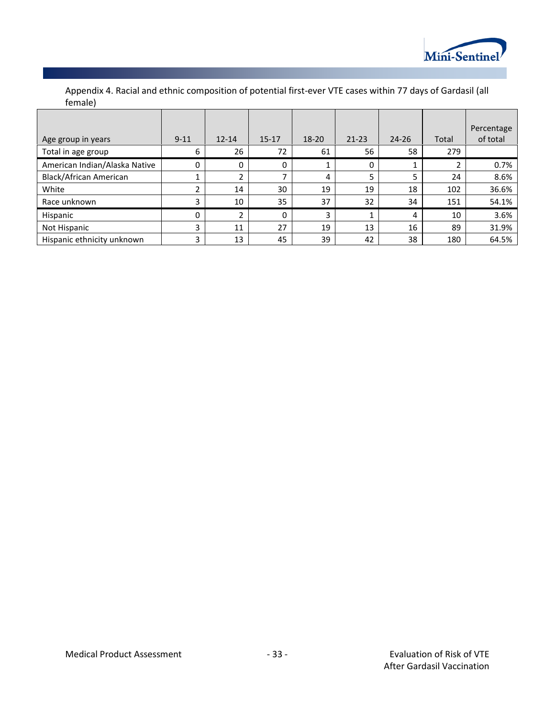

Appendix 4. Racial and ethnic composition of potential first-ever VTE cases within 77 days of Gardasil (all female)

| Age group in years            | $9 - 11$ | $12 - 14$ | $15 - 17$ | 18-20 | $21 - 23$ | $24 - 26$ | Total | Percentage<br>of total |
|-------------------------------|----------|-----------|-----------|-------|-----------|-----------|-------|------------------------|
| Total in age group            | 6        | 26        | 72        | 61    | 56        | 58        | 279   |                        |
| American Indian/Alaska Native | 0        | 0         | 0         |       | 0         |           |       | 0.7%                   |
| Black/African American        |          |           |           | 4     | 5         |           | 24    | 8.6%                   |
| White                         |          | 14        | 30        | 19    | 19        | 18        | 102   | 36.6%                  |
| Race unknown                  |          | 10        | 35        | 37    | 32        | 34        | 151   | 54.1%                  |
| Hispanic                      | 0        |           | 0         | 3     | 1         | 4         | 10    | 3.6%                   |
| Not Hispanic                  | 3        | 11        | 27        | 19    | 13        | 16        | 89    | 31.9%                  |
| Hispanic ethnicity unknown    | 3        | 13        | 45        | 39    | 42        | 38        | 180   | 64.5%                  |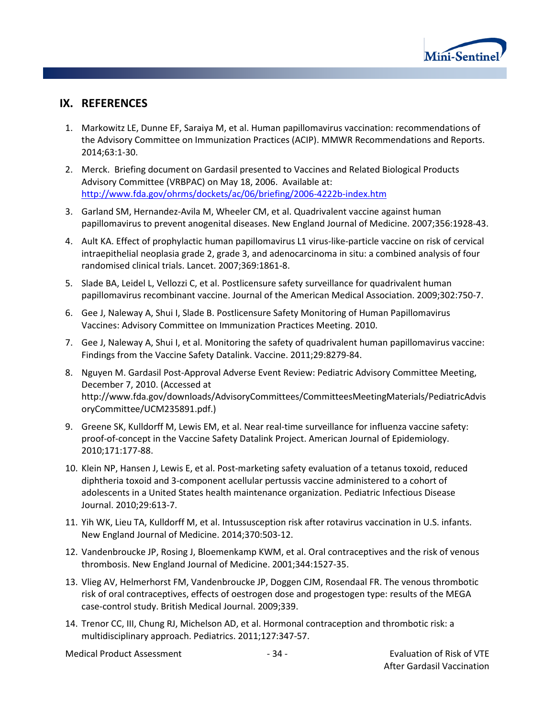

## **IX. REFERENCES**

- 1. Markowitz LE, Dunne EF, Saraiya M, et al. Human papillomavirus vaccination: recommendations of the Advisory Committee on Immunization Practices (ACIP). MMWR Recommendations and Reports. 2014;63:1-30.
- 2. Merck. Briefing document on Gardasil presented to Vaccines and Related Biological Products Advisory Committee (VRBPAC) on May 18, 2006. Available at: <http://www.fda.gov/ohrms/dockets/ac/06/briefing/2006-4222b-index.htm>
- 3. Garland SM, Hernandez-Avila M, Wheeler CM, et al. Quadrivalent vaccine against human papillomavirus to prevent anogenital diseases. New England Journal of Medicine. 2007;356:1928-43.
- 4. Ault KA. Effect of prophylactic human papillomavirus L1 virus-like-particle vaccine on risk of cervical intraepithelial neoplasia grade 2, grade 3, and adenocarcinoma in situ: a combined analysis of four randomised clinical trials. Lancet. 2007;369:1861-8.
- 5. Slade BA, Leidel L, Vellozzi C, et al. Postlicensure safety surveillance for quadrivalent human papillomavirus recombinant vaccine. Journal of the American Medical Association. 2009;302:750-7.
- 6. Gee J, Naleway A, Shui I, Slade B. Postlicensure Safety Monitoring of Human Papillomavirus Vaccines: Advisory Committee on Immunization Practices Meeting. 2010.
- 7. Gee J, Naleway A, Shui I, et al. Monitoring the safety of quadrivalent human papillomavirus vaccine: Findings from the Vaccine Safety Datalink. Vaccine. 2011;29:8279-84.
- 8. Nguyen M. Gardasil Post-Approval Adverse Event Review: Pediatric Advisory Committee Meeting, December 7, 2010. (Accessed at http://www.fda.gov/downloads/AdvisoryCommittees/CommitteesMeetingMaterials/PediatricAdvis oryCommittee/UCM235891.pdf.)
- 9. Greene SK, Kulldorff M, Lewis EM, et al. Near real-time surveillance for influenza vaccine safety: proof-of-concept in the Vaccine Safety Datalink Project. American Journal of Epidemiology. 2010;171:177-88.
- 10. Klein NP, Hansen J, Lewis E, et al. Post-marketing safety evaluation of a tetanus toxoid, reduced diphtheria toxoid and 3-component acellular pertussis vaccine administered to a cohort of adolescents in a United States health maintenance organization. Pediatric Infectious Disease Journal. 2010;29:613-7.
- 11. Yih WK, Lieu TA, Kulldorff M, et al. Intussusception risk after rotavirus vaccination in U.S. infants. New England Journal of Medicine. 2014;370:503-12.
- 12. Vandenbroucke JP, Rosing J, Bloemenkamp KWM, et al. Oral contraceptives and the risk of venous thrombosis. New England Journal of Medicine. 2001;344:1527-35.
- 13. Vlieg AV, Helmerhorst FM, Vandenbroucke JP, Doggen CJM, Rosendaal FR. The venous thrombotic risk of oral contraceptives, effects of oestrogen dose and progestogen type: results of the MEGA case-control study. British Medical Journal. 2009;339.
- 14. Trenor CC, III, Chung RJ, Michelson AD, et al. Hormonal contraception and thrombotic risk: a multidisciplinary approach. Pediatrics. 2011;127:347-57.

Medical Product Assessment - 34 - Evaluation of Risk of VTE